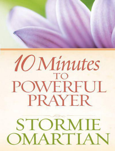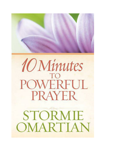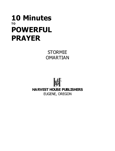# **10 Minutes TO POWERFUL PRAYER**

STORMIE **OMARTIAN** 



**HARVEST HOUSE PUBLISHERS**

EUGENE, OREGON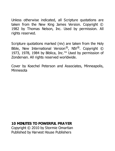Unless otherwise indicated, all Scripture quotations are taken from the New King James Version. Copyright © 1982 by Thomas Nelson, Inc. Used by permission. All rights reserved.

Scripture quotations marked (niv) are taken from the Holy Bible, New International Version®, NIV®. Copyright  $\odot$ 1973, 1978, 1984 by Biblica, Inc.™ Used by permission of Zondervan. All rights reserved worldwide.

Cover by Koechel Peterson and Associates, Minneapolis, Minnesota

#### **10 MINUTES TO POWERFUL PRAYER**

Copyright © 2010 by Stormie Omartian Published by Harvest House Publishers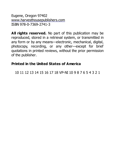Eugene, Oregon 97402 [www.harvesthousepublishers.com](http://www.harvesthousepublishers.com) ISBN 978-0-7369-2741-3

**All rights reserved.** No part of this publication may be reproduced, stored in a retrieval system, or transmitted in any form or by any means—electronic, mechanical, digital, photocopy, recording, or any other—except for brief quotations in printed reviews, without the prior permission of the publisher.

#### **Printed in the United States of America**

10 11 12 13 14 15 16 17 18 VP-NI 10 9 8 7 6 5 4 3 2 1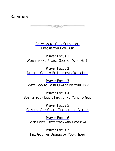### **CONTENTS**



ANSWERS TO YOUR Q[UESTIONS](#page-8-0) BEFORE YOU EVEN ASK

<span id="page-5-1"></span><span id="page-5-0"></span>[Prayer](#page-13-0) Focus 1 WORSHIP AND PRAISE GOD FOR WHO HE IS

<span id="page-5-2"></span>[Prayer](#page-27-0) Focus 2 DECLARE GOD TO BE LORD OVER YOUR LIFE

<span id="page-5-3"></span>[Prayer](#page-33-0) Focus 3 INVITE GOD TO BE IN CHARGE OF YOUR DAY

[Prayer](#page-41-0) Focus 4 SUBMIT YOUR BODY, HEART, AND MIND TO GOD

[Prayer](#page-49-0) Focus 5 CONFESS ANY SIN OF THOUGHT OR ACTION

Prayer Focus 6 SEEK GOD'S P[ROTECTION](#page-57-0) AND COVERING

[Prayer](#page-65-0) Focus 7 TELL GOD THE DESIRES OF YOUR HEART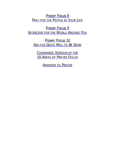[Prayer](#page-72-0) Focus 8 PRAY FOR THE PEOPLE IN YOUR LIFE

Prayer Focus 9 I[NTERCEDE](#page-83-0) FOR THE WORLD AROUND YOU

[Prayer](#page-93-0) Focus 10 ASK FOR GOD'S WILL TO BE DONE

C[ONDENSED](#page-100-0) VERSION OF THE 10 AREAS OF PRAYER FOCUS

A[NSWERS](#page-102-0) TO PRAYER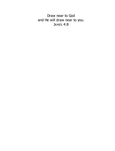Draw near to God and He will draw near to you. JAMES 4:8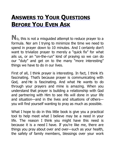# <span id="page-8-0"></span>**ANSWERS TO YOUR Q[UESTIONS](#page-5-0) BEFORE YOU EVEN ASK**

**N**o, this is not <sup>a</sup> misguided attempt to reduce prayer to <sup>a</sup> formula. Nor am I trying to minimize the time we need to spend in prayer down to 10 minutes. And I certainly don't want to trivialize prayer to merely a "quick fix" for what ails us, or an "on-the-run" kind of praying so we can do our "duty" and get on to the many "more interesting" things we have to do in our lives.

First of all, I think prayer is interesting. In fact, I think it's fascinating. That's because prayer is communicating with God, and He is fascinating. And what He wants to do through your prayers and mine is amazing. When you understand that prayer is building a relationship with God and partnering with Him to see His will done in your life and situation—and in the lives and situations of others you will find yourself wanting to pray as much as possible.

What I hope to do in this little book is give you a practical tool to help meet what I believe may be a need in your life. The reason I think you might have this need is because it is a need I have. If you're like me, there are things you pray about over and over—such as your health, the safety of family members, blessings over your work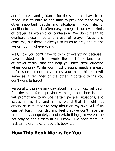and finances, and guidance for decisions that have to be made. But it's hard to find time to pray about the many other important people and situations in your life. In addition to that, it is often easy to neglect such vital kinds of prayer as worship or confession. We don't mean to overlook these important areas of prayer focus and concerns, but there is always so much to pray about, and we can't think of everything.

Well, now you don't have to think of everything because I have provided the framework—the most important areas of prayer focus—that can help you have clear direction when you pray. While your most pressing needs are easy to focus on because they occupy your mind, this book will serve as a reminder of the other important things you don't want to forget.

Personally, I pray every day about many things, yet I still feel the need for a previously thought-out checklist that will prompt me to include certain people, situations, and issues in my life and in my world that I might not otherwise remember to pray about on my own. All of us can get busy in our day and feel that we don't have the time to pray adequately about certain things, so we end up not praying about them at all. I know. I've been there. In fact, I'm there now. I need this book too.

### **How This Book Works for You**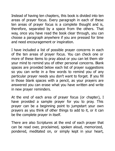Instead of having ten chapters, this book is divided into ten areas of prayer focus. Every paragraph in each of these ten areas of prayer focus is a complete thought and is, therefore, separated by a space from the others. That way, once you have read the book clear through, you can choose a paragraph anywhere if you are pressed for time and need encouragement or inspiration.

I have included a list of possible prayer concerns in each of the ten areas of prayer focus. You can check one or more of these items to pray about or you can let them stir your mind to remind you of other personal concerns. Blank spaces are provided below each list of prayer suggestions so you can write in a few words to remind you of any particular prayer needs you don't want to forget. If you fill in those blank spaces with a pencil, as your prayers are answered you can erase what you have written and write in new prayer reminders.

At the end of each area of prayer focus (or chapter), I have provided a sample prayer for you to pray. This prayer can be a beginning point to jumpstart your own prayers as you think of other things to add to it, or it can be the complete prayer in itself.

There are also Scriptures at the end of each prayer that can be read over, proclaimed, spoken aloud, memorized, pondered, meditated on, or simply kept in your heart,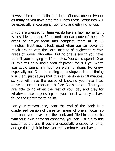however time and inclination lead. Choose one or two or as many as you have time for. I know these Scriptures will be especially encouraging, uplifting, and edifying to you.

If you are pressed for time yet do have a few moments, it is possible to spend 60 seconds on each one of these 10 areas of prayer focus and complete them all in 10 minutes. Trust me, it feels good when you can cover so much ground with the Lord, instead of neglecting certain areas of prayer altogether. But no one is saying you have to limit your praying to 10 minutes. You could spend 10 or 20 minutes on a single area of prayer focus if you want. You could spend an hour on worship alone. No one especially not God—is holding up a stopwatch and timing you. I am just saying that this can be done in 10 minutes, so you will have the peace of knowing you have lifted these important concerns before God's throne. Then you are able to go about the rest of your day and pray for whatever else is pressing on your heart when you have found the right time to do so.

For your convenience, near the end of the book is a condensed version of these ten areas of prayer focus, so that once you have read the book and filled in the blanks with your own personal concerns, you can just flip to this section at the end if you are especially pressed for time, and go through it in however many minutes you have.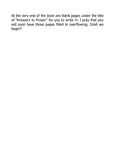At the very end of the book are blank pages under the title of "Answers to Prayer" for you to write in. I pray that you will soon have those pages filled to overflowing. Shall we begin?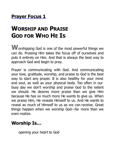## <span id="page-13-0"></span>**[Prayer](#page-5-1) Focus 1**

# **WORSHIP AND PRAISE GOD FOR WHO HE IS**

**W**orshipping God is one of the most powerful things we can do. Praising Him takes the focus off of ourselves and puts it entirely on Him. And that is always the best way to approach God and begin to pray.

Prayer is communicating with God. And communicating your love, gratitude, worship, and praise to God is the best way to start any prayer. It is also healthy for your mind and soul, as well as your physical body. Too often in our busy day we don't worship and praise God to the extent we should. He desires more praise than we give Him because He has so much more He wants to give us. When we praise Him, He reveals Himself to us. And He wants to reveal as much of Himself to us as we can receive. Great things happen when we worship God—far more than we even realize.

## **Worship Is…**

opening your heart to God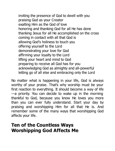inviting the presence of God to dwell with you praising God as your Creator exalting Him as the God of love honoring and thanking God for all He has done thanking Jesus for all He accomplished on the cross coming in contact with all that God is allowing God's holiness to touch you offering yourself to the Lord demonstrating your love for God affirming your loyalty to the Lord lifting your heart and mind to God preparing to receive all God has for you acknowledging God as almighty and all-powerful letting go of all else and embracing only the Lord

No matter what is happening in your life, God is always worthy of your praise. That's why worship must be your first reaction to everything. It should become a way of life —a priority. You can decide to wake up in the morning thankful to God, because you know He loves you more than you can ever fully understand. Start your day by praising and worshipping Him for all that He is. And remember some of the many ways that worshipping God affects your life.

### **Ten of the Countless Ways Worshipping God Affects Me**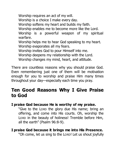Worship requires an act of my will. Worship is a choice I make every day. Worship softens my heart and builds my faith. Worship enables me to become more like the Lord. Worship is a powerful weapon of my spiritual warfare. Worship helps me to hear God speaking to my heart. Worship evaporates all my fears. Worship invites God to pour Himself into me. Worship deepens my relationship with the Lord. Worship changes my mind, heart, and attitude.

There are countless reasons why you should praise God. Even remembering just one of them will be motivation enough for you to worship and praise Him many times throughout your day—especially each time you pray.

### **Ten Good Reasons Why I Give Praise to God**

#### **I praise God because He is worthy of my praise.**

"Give to the LORD the glory due His name; bring an offering, and come into His courts. Oh, worship the LORD in the beauty of holiness! Tremble before Him, all the earth" (Psalm 96:8-9).

### **I praise God because it brings me into His Presence.**

"Oh come, let us sing to the LORD! Let us shout joyfully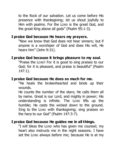to the Rock of our salvation. Let us come before His presence with thanksgiving; let us shout joyfully to Him with psalms. For the LORD is the great God, and the great King above all gods" (Psalm 95:1-3).

#### **I praise God because He hears my prayers.**

"Now we know that God does not hear sinners; but if anyone is a worshiper of God and does His will, He hears him" (John 9:31).

#### **I praise God because it brings pleasure to my soul.**

"Praise the LORD! For it is good to sing praises to our God; for it is pleasant, and praise is beautiful" (Psalm 147:1).

#### **I praise God because He does so much for me.**

"He heals the brokenhearted and binds up their wounds.

He counts the number of the stars; He calls them all by name. Great is our Lord, and mighty in power; His understanding is infinite. The LORD lifts up the humble; He casts the wicked down to the ground. Sing to the LORD with thanksgiving; sing praises on the harp to our God" (Psalm 147:3-7).

#### **I praise God because He guides me in all things.**

"I will bless the LORD who has given me counsel; my heart also instructs me in the night seasons. I have set the LORD always before me; because He is at my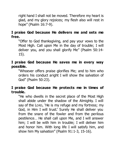right hand I shall not be moved. Therefore my heart is glad, and my glory rejoices; my flesh also will rest in hope" (Psalm 16:7-9).

#### **I praise God because He delivers me and sets me free.**

"Offer to God thanksgiving, and pay your vows to the Most High. Call upon Me in the day of trouble; I will deliver you, and you shall glorify Me" (Psalm 50:14- 15).

#### **I praise God because He saves me in every way possible.**

"Whoever offers praise glorifies Me; and to him who orders his conduct aright I will show the salvation of God" (Psalm 50:23).

#### **I praise God because He protects me in times of trouble.**

"He who dwells in the secret place of the Most High shall abide under the shadow of the Almighty. I will say of the LORD, 'He is my refuge and my fortress; my God, in Him I will trust.' Surely He shall deliver you from the snare of the fowler and from the perilous pestilence… He shall call upon Me, and I will answer him; I will be with him in trouble; I will deliver him and honor him. With long life I will satisfy him, and show him My salvation" (Psalm 91:1-3, 15-16).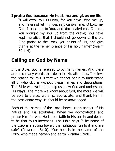#### **I praise God because He heals me and gives me life.**

"I will extol You, O LORD, for You have lifted me up, and have not let my foes rejoice over me. O LORD my God, I cried out to You, and You healed me. O LORD. You brought my soul up from the grave; You have kept me alive, that I should not go down to the pit. Sing praise to the LORD, you saints of His, and give thanks at the remembrance of His holy name" (Psalm 30:1-4).

## **Calling on God by Name**

In the Bible, God is referred to by many names. And there are also many words that describe His attributes. I believe the reason for this is that we cannot begin to understand all of who God is without these names and descriptions. The Bible was written to help us know God and understand His ways. The more we know about God, the more we will be able to praise, worship, appreciate, and thank Him in the passionate way He should be acknowledged.

Each of the names of the Lord shows us an aspect of His nature and His attributes. When we acknowledge and praise Him for who He is, our faith in His ability and desire to be that to us increases. The Bible says, "The name of the LORD is a strong tower; the righteous run to it and are safe" (Proverbs 18:10). "Our help is in the name of the LORD, who made heaven and earth" (Psalm 124:8).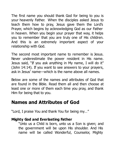The first name you should thank God for being to you is your heavenly Father. When the disciples asked Jesus to teach them how to pray, Jesus gave them the Lord's Prayer, which begins by acknowledging God as our Father in heaven. When you begin your prayer that way, it helps you to remember that you are truly one of His children. And this is an extremely important aspect of your relationship with God.

The second most important name to remember is Jesus. Never underestimate the power resident in His name. Jesus said, "If you ask anything in My name, I will do it" (John 14:14). If you want to see answers to your prayers, ask in Jesus' name—which is the name above all names.

Below are some of the names and attributes of God that are found in the Bible. Read them all and then choose at least one or more of them each time you pray, and thank Him for being that to you.

### **Names and Attributes of God**

"Lord, I praise You and thank You for being my…"

#### **Mighty God and Everlasting Father**

"Unto us a Child is born, unto us a Son is given; and the government will be upon His shoulder. And His name will be called Wonderful, Counselor, Mighty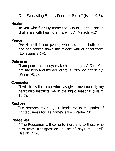God, Everlasting Father, Prince of Peace" (Isaiah 9:6).

#### **Healer**

To you who fear My name the Sun of Righteousness shall arise with healing in His wings" (Malachi 4:2).

#### **Peace**

"He Himself is our peace, who has made both one, and has broken down the middle wall of separation" (Ephesians 2:14).

#### **Deliverer**

"I am poor and needy; make haste to me, O God! You are my help and my deliverer; O LORD, do not delay" (Psalm 70:5).

#### **Counselor**

"I will bless the LORD who has given me counsel; my heart also instructs me in the night seasons" (Psalm 16:7).

#### **Restorer**

"He restores my soul; He leads me in the paths of righteousness for His name's sake" (Psalm 23:3).

#### **Redeemer**

"The Redeemer will come to Zion, and to those who turn from transgression in Jacob,' says the Lord" (Isaiah 59:20).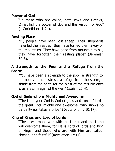#### **Power of God**

"To those who are called, both Jews and Greeks, Christ [is] the power of God and the wisdom of God" (1 Corinthians 1:24).

#### **Resting Place**

"My people have been lost sheep. Their shepherds have led them astray; they have turned them away on the mountains. They have gone from mountain to hill; they have forgotten their resting place" (Jeremiah 50:6).

#### **A Strength to the Poor and a Refuge from the Storm**

"You have been a strength to the poor, a strength to the needy in his distress, a refuge from the storm, a shade from the heat; for the blast of the terrible ones is as a storm against the wall" (Isaiah 25:4).

#### **God of Gods who is Mighty and Awesome**

"The LORD your God is God of gods and Lord of lords, the great God, mighty and awesome, who shows no partiality nor takes a bribe" (Deuteronomy 10:17).

#### **King of Kings and Lord of Lords**

"These will make war with the Lamb, and the Lamb will overcome them, for He is Lord of lords and King of kings; and those who are with Him are called, chosen, and faithful" (Revelation 17:14).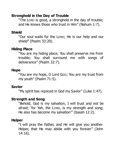#### **Stronghold in the Day of Trouble**

"The LORD is good, a stronghold in the day of trouble; and He knows those who trust in Him" (Nahum 1:7).

#### **Shield**

"Our soul waits for the LORD; He is our help and our shield" (Psalm 33:20).

#### **Hiding Place**

"You are my hiding place; You shall preserve me from trouble; You shall surround me with songs of deliverance" (Psalm 32:7).

#### **Hope**

"You are my hope, O Lord GOD; You are my trust from my youth" (Psalm 71:5).

#### **Savior**

"My spirit has rejoiced in God my Savior" (Luke 1:47).

#### **Strength and Song**

"Behold, God is my salvation, I will trust and not be afraid; 'for Yah, the LORD, is my strength and song; He also has become my salvation'" (Isaiah 12:2).

#### **Helper**

"I will pray the Father, and He will give you another Helper, that He may abide with you forever" (John 14:16).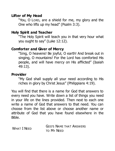#### **Lifter of My Head**

"You, O LORD, are a shield for me, my glory and the One who lifts up my head" (Psalm 3:3).

#### **Holy Spirit and Teacher**

"The Holy Spirit will teach you in that very hour what you ought to say" (Luke 12:12).

#### **Comforter and Giver of Mercy**

"Sing, O heavens! Be joyful, O earth! And break out in singing, O mountains! For the Lord has comforted His people, and will have mercy on His afflicted" (Isaiah 49:13).

#### **Provider**

"My God shall supply all your need according to His riches in glory by Christ Jesus" (Philippians 4:19).

You will find that there is a name for God that answers to every need you have. Write down a list of things you need in your life on the lines provided. Then next to each one write a name of God that answers to that need. You can choose from the list above or choose another name or attribute of God that you have found elsewhere in the Bible.

WHAT **I** NEED GOD'S NAME THAT ANSWERS TO MY NEED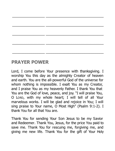### **PRAYER POWER**

Lord, I come before Your presence with thanksgiving. I worship You this day as the almighty Creator of heaven and earth. You are the all-powerful God of the universe for whom nothing is impossible. I exalt You as my Creator, and I praise You as my heavenly Father. I thank You that You are the God of love, peace, and joy. "I will praise You, O LORD, with my whole heart; I will tell of all Your marvelous works. I will be glad and rejoice in You; I will sing praise to Your name, O Most High" (Psalm 9:1-2). I thank You for all that You are.

\_\_\_\_\_\_\_\_\_\_\_\_\_\_\_\_\_ \_\_\_\_\_\_\_\_\_\_\_\_\_\_\_\_\_\_\_\_\_\_\_\_\_\_\_\_\_\_\_ \_\_\_\_\_\_\_\_\_\_\_\_\_\_\_\_\_ \_\_\_\_\_\_\_\_\_\_\_\_\_\_\_\_\_\_\_\_\_\_\_\_\_\_\_\_\_\_\_ \_\_\_\_\_\_\_\_\_\_\_\_\_\_\_\_\_ \_\_\_\_\_\_\_\_\_\_\_\_\_\_\_\_\_\_\_\_\_\_\_\_\_\_\_\_\_\_\_ \_\_\_\_\_\_\_\_\_\_\_\_\_\_\_\_\_ \_\_\_\_\_\_\_\_\_\_\_\_\_\_\_\_\_\_\_\_\_\_\_\_\_\_\_\_\_\_\_ \_\_\_\_\_\_\_\_\_\_\_\_\_\_\_\_\_ \_\_\_\_\_\_\_\_\_\_\_\_\_\_\_\_\_\_\_\_\_\_\_\_\_\_\_\_\_\_\_

Thank You for sending Your Son Jesus to be my Savior and Redeemer. Thank You, Jesus, for the price You paid to save me. Thank You for rescuing me, forgiving me, and giving me new life. Thank You for the gift of Your Holy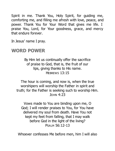Spirit in me. Thank You, Holy Spirit, for guiding me, comforting me, and filling me afresh with love, peace, and power. Thank You for Your Word that gives me life. I praise You, Lord, for Your goodness, grace, and mercy that endure forever.

In Jesus' name I pray.

### **WORD POWER**

By Him let us continually offer the sacrifice of praise to God, that is, the fruit of our lips, giving thanks to His name. HEBREWS 13:15

The hour is coming, and now is, when the true worshipers will worship the Father in spirit and truth; for the Father is seeking such to worship Him.  $J$ OHN  $4.23$ 

Vows made to You are binding upon me, O God; I will render praises to You, for You have delivered my soul from death. Have You not kept my feet from falling, that I may walk before God in the light of the living? PSALM 56:12-13

Whoever confesses Me before men, him I will also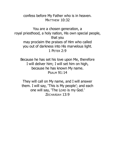confess before My Father who is in heaven. MATTHEW 10.32

You are a chosen generation, a royal priesthood, a holy nation, His own special people, that you may proclaim the praises of Him who called you out of darkness into His marvelous light. 1 PETER 2:9

Because he has set his love upon Me, therefore I will deliver him; I will set him on high, because he has known My name. **PSALM 91:14** 

They will call on My name, and I will answer them. I will say, 'This is My people'; and each one will say, 'The LORD is my God.' ZECHARIAH 13:9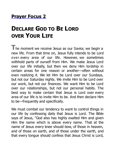### <span id="page-27-0"></span>**[Prayer](#page-5-2) Focus 2**

# **DECLARE GOD TO BE LORD OVER YOUR LIFE**

**T**he moment we receive Jesus as our Savior, we begin <sup>a</sup> new life. From that time on, Jesus fully intends to be Lord over every area of our life. However, we sometimes withhold parts of ourself from Him. We make Jesus Lord over our life initially, but then we deny Him lordship in certain areas for one reason or another—often without even realizing it. We let Him be Lord over our Sundays, but not our Saturday nights. We invite Him to be Lord over our work, but not our finances. We want Him to be Lord over our relationships, but not our personal habits. The best way to make certain that Jesus is Lord over every area of our life is to invite Him to be. And then declare Him to be—frequently and specifically.

We must combat our tendency to want to control things in our life by confessing daily that Jesus is Lord. The Bible says of Jesus, "God also has highly exalted Him and given Him the name which is above every name. That at the name of Jesus every knee should bow, of those in heaven, and of those on earth, and of those under the earth, and that every tongue should confess that Jesus Christ is Lord,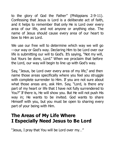to the glory of God the Father" (Philippians 2:9-11). Confessing that Jesus is Lord is a deliberate act of faith, and it helps to remember that only He is Lord over every area of our life, and not anyone or anything else. The name of Jesus should cause every area of our heart to bow to Him as Lord.

We use our free will to determine which way we will go —our way or God's way. Declaring Him to be Lord over our life is submitting our will to God's. It's saying, "Not my will, but Yours be done, Lord." When we proclaim that before the Lord, our way will begin to line up with God's way.

Say, "Jesus, be Lord over every area of my life," and then name those areas specifically where you feel you struggle with complete surrender to Him. If you are not sure about what those areas are, ask Him. Say, "Lord, is there any part of my heart or life that I have not fully surrendered to You?" If there is, He will show you. But He will not push His way in; He wants to be invited. God wants to share Himself with you, but you must be open to sharing every part of your being with Him.

### **The Areas of My Life Where I Especially Need Jesus to Be Lord**

"Jesus, I pray that You will be Lord over my…"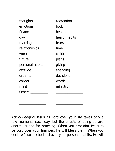| thoughts        | recreation    |
|-----------------|---------------|
| emotions        | body          |
| finances        | health        |
| day             | health habits |
| marriage        | fears         |
| relationships   | time          |
| work            | children      |
| future          | plans         |
| personal habits | giving        |
| attitude        | spending      |
| dreams          | decisions     |
| career          | words         |
| mind            | ministry      |
| Other:          |               |
|                 |               |
|                 |               |
|                 |               |

Acknowledging Jesus as Lord over your life takes only a few moments each day, but the effects of doing so are enormous and far reaching. When you proclaim Jesus to be Lord over your finances, He will bless them. When you declare Jesus to be Lord over your personal habits, He will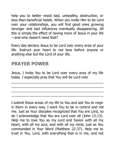help you to better resist bad, unhealthy, destructive, or less-than-beneficial habits. When you invite Him to be Lord over your relationships, you will find good ones growing stronger and bad influences eventually disappearing. All this is simply the effect of having more of Jesus in your life —and who doesn't need that?

Every day declare Jesus to be Lord over every area of your life. Instruct your heart to not bow before anyone or anything else but the Lord of your life.

## **PRAYER POWER**

Jesus, I invite You to be Lord over every area of my life today. I especially pray that You will be Lord over

\_\_\_\_\_\_\_\_\_\_\_\_\_\_\_\_\_\_\_\_\_\_\_\_\_\_\_\_\_\_\_\_\_\_\_\_\_\_\_\_\_\_\_\_\_\_\_\_\_\_\_\_\_\_\_\_\_ \_\_\_\_\_\_\_\_\_\_\_\_\_\_\_\_\_\_\_\_\_\_\_\_\_\_\_\_\_\_\_\_\_\_\_\_\_\_\_\_\_\_\_\_\_\_\_\_\_\_\_\_\_\_\_\_\_ \_\_\_\_\_\_\_\_\_\_\_\_\_\_\_\_\_\_\_\_\_\_\_\_\_\_\_\_\_\_\_\_\_\_\_\_\_\_\_\_\_\_\_\_\_\_\_\_\_\_\_\_\_\_\_\_\_ \_\_\_\_\_\_\_\_\_\_\_\_\_\_\_\_\_\_\_\_\_\_\_\_\_\_\_\_\_\_\_\_\_\_\_\_\_\_\_\_\_\_\_\_\_\_\_\_\_\_\_\_\_\_\_\_\_

I submit those areas of my life to You and ask You to reign in them in every way. I want You to be in control and not me. Just as Your disciples recognized that You are Lord, so do I acknowledge that You are Lord over all (John 13:13). Help me to love You as my Lord and Savior with all my heart, with all my soul, and with all my mind, just as You commanded in Your Word (Matthew 22:37). Help me to trust in You, Lord, with everything that is in me, and not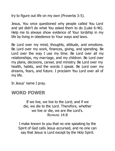try to figure out life on my own (Proverbs 3:5).

Jesus, You once questioned why people called You Lord and yet didn't do what You asked them to do (Luke 6:46). Help me to always show evidence of Your lordship in my life by living in obedience to Your ways and laws.

Be Lord over my mind, thoughts, attitude, and emotions. Be Lord over my work, finances, giving, and spending. Be Lord over the way I use my time. Be Lord over all my relationships, my marriage, and my children. Be Lord over my plans, decisions, career, and ministry. Be Lord over my health, habits, and the words I speak. Be Lord over my dreams, fears, and future. I proclaim You Lord over all of my life.

In Jesus' name I pray.

### **WORD POWER**

If we live, we live to the Lord; and if we die, we die to the Lord. Therefore, whether we live or die, we are the Lord's. ROMANS 14.8

I make known to you that no one speaking by the Spirit of God calls Jesus accursed, and no one can say that Jesus is Lord except by the Holy Spirit.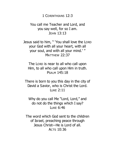#### 1 CORINTHIANS 12:3

You call me Teacher and Lord, and you say well, for so I am.  $J$  $O$  $H$  $N$  13 $\cdot$ 13

Jesus said to him, " 'You shall love the LORD your God with all your heart, with all your soul, and with all your mind.' " **MATTHEW 22:37** 

The LORD is near to all who call upon Him, to all who call upon Him in truth. PSALM 145:18

There is born to you this day in the city of David a Savior, who is Christ the Lord.  $L<sub>LWE</sub>$  2:11

Why do you call Me "Lord, Lord," and do not do the things which I say? LUKE 6:46

The word which God sent to the children of Israel, preaching peace through Jesus Christ—He is Lord of all. ACTS 10:36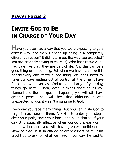### <span id="page-33-0"></span>**[Prayer](#page-5-3) Focus 3**

# **INVITE GOD TO BE IN CHARGE OF YOUR DAY**

**H**ave you ever had <sup>a</sup> day that you were expecting to go <sup>a</sup> certain way, and then it ended up going in a completely different direction? It didn't turn out the way you expected? You are probably saying to yourself, Who hasn't? We've all had days like that; they are part of life. And this can be a good thing or a bad thing. But when we have days like this nearly every day, that's a bad thing. We don't need to have our days getting out of control all the time. I have found that when you ask God to be in charge of your day, things go better. Then, even if things don't go as you planned and the unexpected happens, you will still have greater peace. You will feel that although it was unexpected to you, it wasn't a surprise to God.

Every day you face many things, but you can invite God to reign in each one of them. Ask Him to order your steps, clear your path, cover your back, and be in charge of your day. It is especially effective when you do this early on in the day, because you will have greater confidence in knowing that He is in charge of every aspect of it. Jesus taught us to ask for what we need in our day. He said to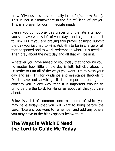pray, "Give us this day our daily bread" (Matthew 6:11). This is not a "somewhere-in-the-future" kind of prayer. This is a prayer for our immediate needs.

Even if you do not pray this prayer until the late afternoon, you still have what's left of your day—and night—to submit to Him. But if you are praying this prayer at night, submit the day you just had to Him. Ask Him to be in charge of all that happened and to work redemption where it is needed. Then pray about the next day and all that will be in it.

Whatever you have ahead of you today that concerns you, no matter how little of the day is left, tell God about it. Describe to Him all of the ways you want Him to bless your day and ask Him for guidance and assistance through it. Don't leave out anything. If it is important enough to concern you in any way, then it is important enough to bring before the Lord, for He cares about all that you care about.

Below is a list of common concerns—some of which you may have today—that you will want to bring before the Lord. Note any you want to remember and add any others you may have in the blank spaces below them.

### **The Ways in Which I Need the Lord to Guide Me Today**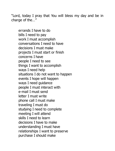"Lord, today I pray that You will bless my day and be in charge of the…"

errands I have to do bills I need to pay work I must accomplish conversations I need to have decisions I must make projects I must start or finish concerns I have people I need to see things I want to accomplish ways I need help situations I do not want to happen events I hope will happen ways I need guidance people I must interact with e-mail I must send letter I must write phone call I must make traveling I must do studying I need to complete meeting I will attend skills I need to learn decisions I have to make understanding I must have relationships I want to preserve purchase I should make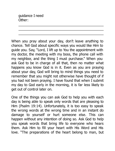When you pray about your day, don't leave anything to chance. Tell God about specific ways you would like Him to guide you. Say, "Lord, I lift up to You the appointment with my doctor, the meeting with my boss, the phone call with my neighbor, and the thing I must purchase." When you ask God to be in charge of all that, then no matter what happens you know God is in it. Even as you are praying about your day, God will bring to mind things you need to remember that you might not otherwise have thought of if you had not been praying. I have found that when I submit my day to God early in the morning, it is far less likely to get out of control later on.

\_\_\_\_\_\_\_\_\_\_\_\_\_\_\_\_\_\_\_\_\_\_\_\_\_\_\_\_\_\_\_\_\_\_\_\_\_\_\_\_\_\_\_\_\_\_\_\_\_\_\_\_\_  $\overline{\phantom{a}}$  , and the contract of the contract of the contract of the contract of the contract of the contract of the contract of the contract of the contract of the contract of the contract of the contract of the contrac \_\_\_\_\_\_\_\_\_\_\_\_\_\_\_\_\_\_\_\_\_\_\_\_\_\_\_\_\_\_\_\_\_\_\_\_\_\_\_\_\_\_\_\_\_\_\_\_\_\_\_\_\_

One of the things you can ask God to help you with each day is being able to speak only words that are pleasing to Him (Psalm 19:14). Unfortunately, it is too easy to speak the wrong words at the wrong time and in an instant do damage to yourself or hurt someone else. This can happen without any intention of doing so. Ask God to help you speak words that bring life to everyone who hears them. Ask Him to fill your heart with His Word and His love. "The preparations of the heart belong to man, but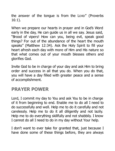the answer of the tongue is from the LORD" (Proverbs 16:1).

When we prepare our hearts in prayer and in God's Word early in the day, He can guide us in all we say. Jesus said, "Brood of vipers! How can you, being evil, speak good things? For out of the abundance of the heart the mouth speaks" (Matthew 12:34). Ask the Holy Spirit to fill your heart afresh each day with more of Him and His nature so that what comes out of your mouth blesses others and glorifies God.

Invite God to be in charge of your day and ask Him to bring order and success in all that you do. When you do that, you will have a day filled with greater peace and a sense of accomplishment.

### **PRAYER POWER**

Lord, I commit my day to You and ask You to be in charge of it from beginning to end. Enable me to do all I need to do successfully and well. Help me to do it carefully and not carelessly. Help me to do it all diligently and not lazily. Help me to do everything skillfully and not shabbily. I know I cannot do all I need to do in my day without Your help.

I don't want to ever take for granted that, just because I have done some of these things before, they are always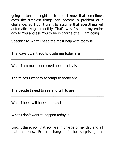going to turn out right each time. I know that sometimes even the simplest things can become a problem or a challenge, so I don't want to assume that everything will automatically go smoothly. That's why I submit my entire day to You and ask You to be in charge of all I am doing.

\_\_\_\_\_\_\_\_\_\_\_\_\_\_\_\_\_\_\_\_\_\_\_\_\_\_\_\_\_\_\_\_\_\_\_\_\_\_\_\_\_\_\_\_\_\_\_\_\_\_\_\_\_\_\_\_\_

\_\_\_\_\_\_\_\_\_\_\_\_\_\_\_\_\_\_\_\_\_\_\_\_\_\_\_\_\_\_\_\_\_\_\_\_\_\_\_\_\_\_\_\_\_\_\_\_\_\_\_\_\_\_\_\_\_

\_\_\_\_\_\_\_\_\_\_\_\_\_\_\_\_\_\_\_\_\_\_\_\_\_\_\_\_\_\_\_\_\_\_\_\_\_\_\_\_\_\_\_\_\_\_\_\_\_\_\_\_\_\_\_\_\_

\_\_\_\_\_\_\_\_\_\_\_\_\_\_\_\_\_\_\_\_\_\_\_\_\_\_\_\_\_\_\_\_\_\_\_\_\_\_\_\_\_\_\_\_\_\_\_\_\_\_\_\_\_\_\_\_\_

\_\_\_\_\_\_\_\_\_\_\_\_\_\_\_\_\_\_\_\_\_\_\_\_\_\_\_\_\_\_\_\_\_\_\_\_\_\_\_\_\_\_\_\_\_\_\_\_\_\_\_\_\_\_\_\_\_

\_\_\_\_\_\_\_\_\_\_\_\_\_\_\_\_\_\_\_\_\_\_\_\_\_\_\_\_\_\_\_\_\_\_\_\_\_\_\_\_\_\_\_\_\_\_\_\_\_\_\_\_\_\_\_\_\_

\_\_\_\_\_\_\_\_\_\_\_\_\_\_\_\_\_\_\_\_\_\_\_\_\_\_\_\_\_\_\_\_\_\_\_\_\_\_\_\_\_\_\_\_\_\_\_\_\_\_\_\_\_\_\_\_\_

Specifically, what I need the most help with today is

The ways I want You to guide me today are

What I am most concerned about today is

The things I want to accomplish today are

The people I need to see and talk to are

What I hope will happen today is

What I don't want to happen today is

Lord, I thank You that You are in charge of my day and all that happens. Be in charge of the surprises, the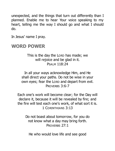unexpected, and the things that turn out differently than I planned. Enable me to hear Your voice speaking to my heart, telling me the way I should go and what I should do.

In Jesus' name I pray.

### **WORD POWER**

This is the day the LORD has made; we will rejoice and be glad in it. **PSALM 118.24** 

In all your ways acknowledge Him, and He shall direct your paths. Do not be wise in your own eyes; fear the LORD and depart from evil. PROVERBS 3.6-7

Each one's work will become clear; for the Day will declare it, because it will be revealed by fire; and the fire will test each one's work, of what sort it is. 1 CORINTHIANS 3:13

Do not boast about tomorrow, for you do not know what a day may bring forth. PROVERBS 27:1

He who would love life and see good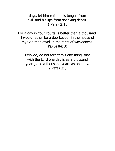days, let him refrain his tongue from evil, and his lips from speaking deceit.  $1$  PETER  $3:10$ 

For a day in Your courts is better than a thousand. I would rather be a doorkeeper in the house of my God than dwell in the tents of wickedness. **PSALM 84.10** 

Beloved, do not forget this one thing, that with the Lord one day is as a thousand years, and a thousand years as one day.  $2$  PETER  $3.8$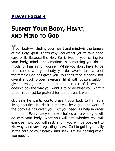## **[Prayer](#page-5-0) Focus 4**

# **SUBMIT YOUR BODY, HEART, AND MIND TO GOD**

**Y**our body—including your heart and mind—is the temple of the Holy Spirit. That's why God wants you to take good care of it. Because the Holy Spirit lives in you, caring for your body, mind, and emotions is something you do as much for Him as for yourself. While you don't have to be preoccupied with your body, you do have to take care of the temple God has given you. You can't feed it poorly, not give it enough proper exercise, fill it with poison, seldom give it enough rest, and then be critical of it when it doesn't look the way you want it to or do what you want it to do. You must be grateful for it and treat it well.

God says He wants you to present your body to Him as a living sacrifice. He desires that you be a good steward of the body He has given you. But you need His help in order to do that. Every day you make choices as to what you will do with your body—what you will eat, whether you will exercise, how you will rest, and if you will be obedient to His ways and laws regarding it. Ask God to guide you daily in the care of your health, and seek Him for healing when you need it.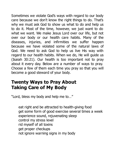Sometimes we violate God's ways with regard to our body care because we don't know the right things to do. That's why we must ask God to show us what to do and help us to do it. Most of the time, however, we just want to do what we want. We make Jesus Lord over our life, but not over our body or our health care habits. Many of the diseases, injuries, and infirmities we suffer happen because we have violated some of the natural laws of God. We need to ask God to help us live His way with regard to our health habits. When we do, He will guide us (Isaiah 30:21). Our health is too important not to pray about it every day. Below are a number of ways to pray. Choose a few of them each time you pray so that you will become a good steward of your body.

# **Twenty Ways to Pray About Taking Care of My Body**

"Lord, bless my body and help me to…"

eat right and be attracted to health-giving food get some form of good exercise several times a week experience sound, rejuvenating sleep control my stress level rid myself of all toxins get proper checkups not ignore warning signs in my body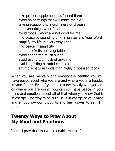take proper supplements as I need them avoid doing things that will make me sick take precautions to avoid illness or disease not overindulge when I eat avoid foods I know are not good for me find peace by spending time in prayer and Your Word simplify my life in every way I can find peace in simplicity eat more fruits and vegetables avoid eating too much sugar avoid eating too much of anything avoid ingesting harmful chemicals eat more natural foods than highly processed foods

When you are mentally and emotionally healthy, you will have peace about who you are and where you are headed in your future. Even if you don't know exactly who you are or where you are going, you can still have peace in your mind and emotions about all of that when you know God is in charge. The way to be sure He is in charge of your mind and emotions—your thoughts and feelings—is to ask Him to be.

## **Twenty Ways to Pray About My Mind and Emotions**

"Lord, I pray that You would enable me to…"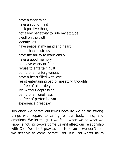have a clear mind have a sound mind think positive thoughts not allow negativity to rule my attitude dwell on the truth identify lies have peace in my mind and heart better handle stress have the ability to learn easily have a good memory not have worry or fear refuse to entertain guilt be rid of all unforgiveness have a heart filled with love resist entertaining bad or upsetting thoughts be free of all anxiety live without depression be rid of all loneliness be free of perfectionism experience great joy

Too often we berate ourselves because we do the wrong things with regard to caring for our body, mind, and emotions. We let the guilt we feel—when we do what we know is not right—overcome us and affect our relationship with God. We don't pray as much because we don't feel we deserve to come before God. But God wants us to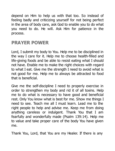depend on Him to help us with that too. So instead of feeling badly and criticizing yourself for not being perfect in the area of body care, ask God to enable you to do what you need to do. He will. Ask Him for patience in the process.

# **PRAYER POWER**

Lord, I submit my body to You. Help me to be disciplined in the way I care for it. Help me to choose health-filled and life-giving foods and be able to resist eating what I should not have. Enable me to make the right choices with regard to what I eat. Give me the strength I need to avoid what is not good for me. Help me to always be attracted to food that is beneficial.

Give me the self-discipline I need to properly exercise in order to strengthen my body and rid it of all toxins. Help me to do what is necessary to have good and beneficial rest. Only You know what is best for me. Show me things I need to see. Teach me all I must learn. Lead me to the right people to help and advise me. Keep me from doing anything careless or indulgent. Thank You that I am fearfully and wonderfully made (Psalm 139:14). Help me to value and take proper care of the body You have given me.

Thank You, Lord, that You are my Healer. If there is any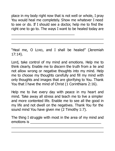place in my body right now that is not well or whole, I pray You would heal me completely. Show me whatever I need to see or do. If I should see a doctor, help me to find the right one to go to. The ways I want to be healed today are

\_\_\_\_\_\_\_\_\_\_\_\_\_\_\_\_\_\_\_\_\_\_\_\_\_\_\_\_\_\_\_\_\_

"Heal me, O LORD, and I shall be healed" (Jeremiah 17:14).

 $\_$ \_\_\_\_\_\_\_\_\_\_\_\_\_\_\_\_\_\_\_\_\_\_\_\_\_\_\_\_\_\_\_\_\_\_\_\_\_\_\_\_\_\_\_\_\_\_\_\_\_\_\_\_\_\_\_\_

Lord, take control of my mind and emotions. Help me to think clearly. Enable me to discern the truth from a lie and not allow wrong or negative thoughts into my mind. Help me to choose my thoughts carefully and fill my mind with only thoughts and images that are glorifying to You. Thank You that I have the mind of Christ (1 Corinthians 2:16).

Help me to live every day with peace in my heart and mind. Take away all stress and teach me to live a simpler and more contented life. Enable me to see all the good in my life and not dwell on the negatives. Thank You for the sound mind You have given me (2 Timothy 1:7).

The thing I struggle with most in the area of my mind and emotions is  $\blacksquare$ 

\_\_\_\_\_\_\_\_\_\_\_\_\_\_\_\_\_\_\_\_\_\_\_\_\_\_\_\_\_\_\_\_\_\_\_\_\_\_\_\_\_\_\_\_\_\_\_\_\_\_\_\_\_\_\_\_ \_\_\_\_\_\_\_\_\_\_\_\_\_\_\_\_\_\_\_\_\_\_\_\_\_\_\_\_\_\_\_\_\_\_\_\_\_\_\_\_\_\_\_\_\_\_\_\_\_\_\_\_\_\_\_\_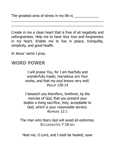Create in me a clean heart that is free of all negativity and unforgiveness. Help me to have Your love and forgiveness in my heart. Enable me to live in peace, tranquility, simplicity, and good health.

 $\_$ \_\_\_\_\_\_\_\_\_\_\_\_\_\_\_\_\_\_\_\_\_\_\_\_\_\_\_\_\_\_\_\_\_\_\_\_\_\_\_\_\_\_\_\_\_\_\_\_\_\_\_\_\_\_\_\_

In Jesus' name I pray.

### **WORD POWER**

I will praise You, for I am fearfully and wonderfully made; marvelous are Your works, and that my soul knows very well. **PSALM 139:14** 

I beseech you therefore, brethren, by the mercies of God, that you present your bodies a living sacrifice, holy, acceptable to God, which is your reasonable service. ROMANS 12.1

The man who fears God will avoid all extremes. ECCLESIASTES 7:18 NIV

Heal me, O Lord, and I shall be healed; save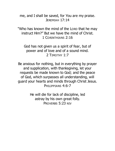me, and I shall be saved, for You are my praise. JEREMIAH 17:14

"Who has known the mind of the LORD that he may instruct Him?" But we have the mind of Christ. 1 CORINTHIANS 2:16

God has not given us a spirit of fear, but of power and of love and of a sound mind. 2 TIMOTHY 1:7

Be anxious for nothing, but in everything by prayer and supplication, with thanksgiving, let your requests be made known to God; and the peace of God, which surpasses all understanding, will guard your hearts and minds through Christ Jesus. PHILIPPIANS 4:6-7

> He will die for lack of discipline, led astray by his own great folly. PROVERBS 5:23 NIV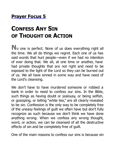# **[Prayer](#page-5-1) Focus 5**

# **CONFESS ANY SIN OF THOUGHT OR ACTION**

**N**<sup>o</sup> one is perfect. None of us does everything right all the time. We all do things we regret. Each one of us has said words that hurt people—even if we had no intention of ever doing that. We all, at one time or another, have had private thoughts that are not right and need to be exposed to the light of the Lord so they can be burned out of us. We all have sinned in some way and have need of the Lord's cleansing.

We don't have to have murdered someone or robbed a bank in order to need to confess our sins. In the Bible, such things as having doubt or jealousy, or being selfish, or gossiping, or telling "white lies," are all clearly revealed to be sin. Confession is the only way to be completely free of the uneasy feelings of guilt we often have but don't fully recognize as such because we don't think we have done anything wrong. When we confess any wrong thought, word, or action, we can be cleansed of all the destructive effects of sin and be completely free of guilt.

One of the main reasons to confess our sins is because sin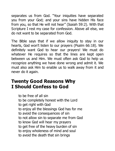separates us from God. "Your iniquities have separated you from your God; and your sins have hidden His face from you, so that He will not hear" (Isaiah 59:2). With that Scripture I rest my case for confession. Above all else, we do not want to be separated from God.

The Bible says that if we allow iniquity to stay in our hearts, God won't listen to our prayers (Psalm 66:18). We definitely want God to hear our prayers! We must do whatever He requires so that the lines are kept open between us and Him. We must often ask God to help us recognize anything we have done wrong and admit it. We must also ask Him to enable us to walk away from it and never do it again.

# **Twenty Good Reasons Why I Should Confess to God**

to be free of all sin to be completely honest with the Lord to get right with God to enjoy all the blessings God has for me to avoid the consequences of sin to not allow sin to separate me from God to know God will hear my prayers to get free of the heavy burden of sin to enjoy wholeness of mind and soul to avoid the death that sin brings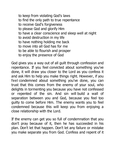to keep from violating God's laws to find the only path to true repentance to receive God's forgiveness to please God and glorify Him to have a clear conscience and sleep well at night to avoid destruction in my life to have nothing holding me back to move into all God has for me to be able to flourish and prosper to enjoy the presence of God

God gives you a way out of all guilt through confession and repentance. If you feel convicted about something you've done, it will draw you closer to the Lord as you confess it and ask Him to help you make things right. However, if you feel condemned about something you've done, you can trust that this comes from the enemy of your soul, who delights in tormenting you because you have not confessed or repented of the sin. And sin will build a wall of separation between you and God, because you feel too guilty to come before Him. The enemy wants you to feel condemned because this will keep you from enjoying a close relationship with the Lord.

If the enemy can get you so full of condemnation that you don't pray because of it, then he has succeeded in his plan. Don't let that happen. Don't let any failure or mistake you make separate you from God. Confess and repent of it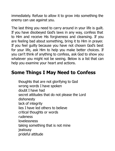immediately. Refuse to allow it to grow into something the enemy can use against you.

The last thing you need to carry around in your life is guilt. If you have disobeyed God's laws in any way, confess that to Him and receive His forgiveness and cleansing. If you are feeling bad about something, bring it to Him in prayer. If you feel guilty because you have not chosen God's best for your life, ask Him to help you make better choices. If you can't think of anything to confess, ask God to show you whatever you might not be seeing. Below is a list that can heln you examine your heart and actions.

# **Some Things I May Need to Confess**

thoughts that are not glorifying to God wrong words I have spoken doubt I have had secret attitudes that do not please the Lord dishonesty lack of integrity lies I have led others to believe critical thoughts or words rudeness lovelessness taking something that is not mine jealousy prideful attitude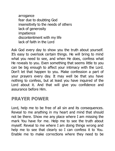arrogance fear due to doubting God insensitivity to the needs of others lack of generosity impatience discontentment with my life lack of faith in the Lord

Ask God every day to show you the truth about yourself. It's easy to overlook certain things. He will bring to mind what you need to see, and when He does, confess what He reveals to you. Even something that seems little to you can be big enough to affect your intimacy with the Lord. Don't let that happen to you. Make confession a part of your prayers every day. It may well be that you have nothing to confess, but at least you have inquired of the Lord about it. And that will give you confidence and assurance before Him.

### **PRAYER POWER**

Lord, help me to be free of all sin and its consequences. Reveal to me anything in my heart and mind that should not be there. Show me any place where I am missing the mark You have for me. Help me to see the truth about myself. Reveal to me where I am doing things wrong and help me to see that clearly so I can confess it to You. Enable me to make corrections where they need to be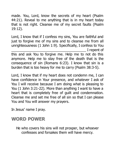made. You, Lord, know the secrets of my heart (Psalm 44:21). Reveal to me anything that is in my heart today that is not right. Cleanse me of my secret faults (Psalm 19:12).

Lord, I know that if I confess my sins, You are faithful and just to forgive me of my sins and to cleanse me from all unrighteousness (1 John 1:9). Specifically, I confess to You \_\_\_\_\_\_\_\_\_\_\_\_\_\_\_\_\_\_\_\_\_\_\_\_\_\_\_\_\_\_\_\_\_\_\_\_\_\_\_ I repent of this and ask You to forgive me. Help me to not do this anymore. Help me to stay free of the death that is the consequence of sin (Romans 6:23). I know that sin is a burden that is too heavy for me to carry (Psalm 38:3-5).

Lord, I know that if my heart does not condemn me, I can have confidence in Your presence, and whatever I ask of You I will receive because I am doing what is pleasing to You (1 John 3:21-22). More than anything I want to have a heart that is completely free of guilt and condemnation. Cleanse me and set me free of all sin so that I can please You and You will answer my prayers.

In Jesus' name I pray.

### **WORD POWER**

He who covers his sins will not prosper, but whoever confesses and forsakes them will have mercy.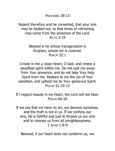PROVERBS 28:13

Repent therefore and be converted, that your sins may be blotted out, so that times of refreshing may come from the presence of the Lord. ACTS 3:19

> Blessed is he whose transgression is forgiven, whose sin is covered. PSALM 32:1

Create in me a clean heart, O God, and renew a steadfast spirit within me. Do not cast me away from Your presence, and do not take Your Holy Spirit from me. Restore to me the joy of Your salvation, and uphold me by Your generous Spirit. PSALM 51:10-12

If I regard iniquity in my heart, the Lord will not hear. **PSALM 66:18** 

If we say that we have no sin, we deceive ourselves, and the truth is not in us. If we confess our sins, He is faithful and just to forgive us our sins and to cleanse us from all unrighteousness.  $1$  JOHN  $1.8-9$ 

Beloved, if our heart does not condemn us, we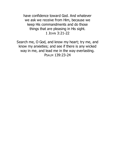have confidence toward God. And whatever we ask we receive from Him, because we keep His commandments and do those things that are pleasing in His sight. 1 JOHN 3:21-22

Search me, O God, and know my heart; try me, and know my anxieties; and see if there is any wicked way in me, and lead me in the way everlasting. PSALM 139:23-24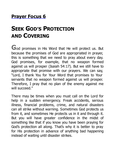## **[Prayer](#page-5-2) Focus 6**

# **SEEK GOD'S PROTECTION AND COVERING**

**G**od promises in His Word that He will protect us. But because the promises of God are appropriated in prayer, this is something that we need to pray about every day. God promises, for example, that no weapon formed against us will prosper (Isaiah 54:17). But we still have to appropriate that promise with our prayers. We can say, "Lord, I thank You for Your Word that promises to Your servants that no weapon formed against us will prosper. Therefore, I pray that no plan of the enemy against me will succeed."

There may be times when you must call on the Lord for help in a sudden emergency. Freak accidents, serious illness, financial problems, crime, and natural disasters can all strike without warning. Sometimes God protects us from it, and sometimes He protects us in it and through it. But you will have greater confidence in the midst of something like that if you know you have been praying for God's protection all along. That's why it is better to pray for His protection in advance of anything bad happening instead of waiting until disaster strikes.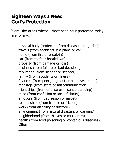## **Eighteen Ways I Need God's Protection**

"Lord, the areas where I most need Your protection today are for my…"

physical body (protection from diseases or injuries) travels (from accidents in a plane or car) home (from fire or break-in) car (from theft or breakdown) property (from damage or loss) business (from failure or bad decisions) reputation (from slander or scandal) family (from accidents or illness) finances (from poor judgment or bad investments) marriage (from strife or miscommunication) friendships (from offense or misunderstanding) mind (from confusion or lack of clarity) emotions (from depression or anxiety) relationships (from trouble or friction) work (from disability or disfavor) environment (from natural disasters or dangers) neighborhood (from thieves or murderers) health (from food poisoning or contagious diseases) Other:

\_\_\_\_\_\_\_\_\_\_\_\_\_\_\_\_\_\_\_\_\_\_\_\_\_\_\_\_\_\_\_\_\_\_\_\_\_\_\_\_\_\_\_\_\_\_ \_\_\_\_\_\_\_\_\_\_\_\_\_\_\_\_\_\_\_\_\_\_\_\_\_\_\_\_\_\_\_\_\_\_\_\_\_\_\_\_\_\_\_\_\_\_\_\_\_\_\_\_\_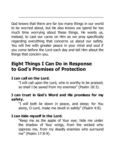God knows that there are far too many things in our world to be worried about, but He also knows we spend far too much time worrying about these things. He wants us, instead, to cast our cares on Him as we pray specifically regarding everything that concerns us about our safety. You will live with greater peace in your mind and soul if you come before the Lord each day and tell Him about the things that concern you.

 $\overline{\phantom{a}}$  , and the contract of the contract of the contract of the contract of the contract of the contract of the contract of the contract of the contract of the contract of the contract of the contract of the contrac

# **Eight Things I Can Do in Response to God's Promises of Protection**

#### **I can call on the Lord.**

"I will call upon the Lord, who is worthy to be praised; so shall I be saved from my enemies" (Psalm 18:3).

#### **I can trust in God's Word and His promises for my safety.**

"I will both lie down in peace, and sleep; for You alone, O Lord, make me dwell in safety" (Psalm 4:8).

#### **I can hide myself in the Lord.**

"Keep me as the apple of Your eye; hide me under the shadow of Your wings, from the wicked who oppress me, from my deadly enemies who surround me" (Psalm 17:8-9).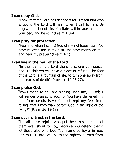#### **I can obey God.**

"Know that the Lord has set apart for Himself him who is godly; the Lord will hear when I call to Him. Be angry, and do not sin. Meditate within your heart on your bed, and be still" (Psalm 4:3-4).

#### **I can pray for protection.**

"Hear me when I call, O God of my righteousness! You have relieved me in my distress; have mercy on me, and hear my prayer" (Psalm 4:1).

#### **I can live in the fear of the Lord.**

"In the fear of the Lord there is strong confidence, and His children will have a place of refuge. The fear of the Lord is a fountain of life, to turn one away from the snares of death" (Proverbs 14:26-27).

#### **I can praise God.**

"Vows made to You are binding upon me, O God; I will render praises to You, for You have delivered my soul from death. Have You not kept my feet from falling, that I may walk before God in the light of the living?" (Psalm 56:12-13)

#### **I can put my trust in the Lord.**

"Let all those rejoice who put their trust in You; let them ever shout for joy, because You defend them; let those also who love Your name be joyful in You. For You, O Lord, will bless the righteous; with favor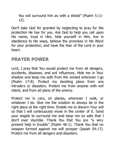You will surround him as with a shield" (Psalm 5:11-  $12$ ).

Don't take God for granted by neglecting to pray for the protection He has for you. Ask God to help you call upon His name, trust in Him, hide yourself in Him, live in obedience to His ways, believe the promises in His Word for your protection, and have the fear of the Lord in your heart.

### **PRAYER POWER**

Lord, I pray that You would protect me from all dangers, accidents, diseases, and evil influences. Hide me in Your shadow and keep me safe from the wicked wherever I go (Psalm 17:8). Protect my dwelling place from any intruders or disasters. Protect me from anyone with evil intent, and from all plans of the enemy.

Protect me in cars, on planes, wherever I walk, or whatever I do. Give me the wisdom to always be in the right place at the right time. Enable me to discern Your will so that I will continuously move in the center of it. Send your angels to surround me and keep me so safe that I don't ever stumble. Thank You that You are "a very present help in trouble" (Psalm 46:1). Thank You that no weapon formed against me will prosper (Isaiah 54:17). Protect me from all dangers and disasters.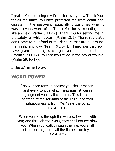I praise You for being my Protector every day. Thank You for all the times You have protected me from death and disaster in the past—and especially those times when I wasn't even aware of it. Thank You for surrounding me like a shield (Psalm 5:11-12). Thank You for setting me in the safety for which I yearn (Psalm 12:5). Thank You that I don't have to be afraid of the dangers that are all around me, night and day (Psalm 91:5-7). Thank You that You have given Your angels charge over me to protect me (Psalm 91:11-12). You are my refuge in the day of trouble (Psalm 59:16-17).

In Jesus' name I pray.

## **WORD POWER**

"No weapon formed against you shall prosper, and every tongue which rises against you in judgment you shall condemn. This is the heritage of the servants of the LORD, and their righteousness is from Me," says the LORD. ISAIAH 54:17

When you pass through the waters. I will be with you; and through the rivers, they shall not overflow you. When you walk through the fire, you shall not be burned, nor shall the flame scorch you. ISAIAH 43:2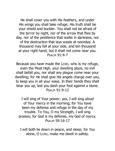He shall cover you with His feathers, and under His wings you shall take refuge; His truth shall be your shield and buckler. You shall not be afraid of the terror by night, nor of the arrow that flies by day, nor of the pestilence that walks in darkness, nor of the destruction that lays waste at noonday. A thousand may fall at your side, and ten thousand at your right hand; but it shall not come near you. PSALM 91:4-7

Because you have made the LORD, who is my refuge, even the Most High, your dwelling place, no evil shall befall you, nor shall any plague come near your dwelling; for He shall give His angels charge over you, to keep you in all your ways. In their hands they shall bear you up, lest you dash your foot against a stone. **PCALM 91.9-12** 

I will sing of Your power; yes, I will sing aloud of Your mercy in the morning; for You have been my defense and refuge in the day of my trouble. To You, O my Strength, I will sing praises; for God is my defense, my God of mercy. PSALM 59:16-17

I will both lie down in peace, and sleep; for You alone, O LORD, make me dwell in safety.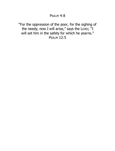**PSALM 4:8** 

"For the oppression of the poor, for the sighing of the needy, now I will arise," says the LORD; "I will set him in the safety for which he yearns." **PSALM 12:5**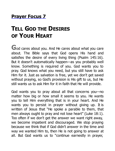# **[Prayer](#page-5-3) Focus 7**

# **TELL GOD THE DESIRES OF YOUR HEART**

**G**od cares about you. And He cares about what you care about. The Bible says that God opens His hand and satisfies the desire of every living thing (Psalm 145:16). But it doesn't automatically happen—as you probably well know. Something is required of you. God wants you to pray. God knows what you need, but you still have to ask Him for it. Just as salvation is free, yet we don't get saved without praying, so God's provision is His gift to us, but He still wants us to ask Him for it in faith that He will provide.

God wants you to pray about all that concerns you—no matter how big or how small it seems to you. He wants you to tell Him everything that is in your heart. And He wants you to persist in prayer without giving up. It is written of Jesus that "He spoke a parable to them, that men always ought to pray and not lose heart" (Luke 18:1). Too often if we don't get the answer we want right away. we become impatient and discouraged. We stop praying because we think that if God didn't answer in the time and way we wanted Him to, then He is not going to answer at all. But God wants us to "continue earnestly in prayer,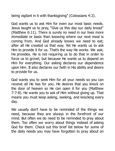being vigilant in it with thanksgiving" (Colossians 4:2).

God wants us to ask Him for even our most basic needs. Jesus taught us to pray, "Give us this day our daily bread" (Matthew 6:11). There is surely no need in our lives more immediate or basic than knowing where our next meal is coming from. And God already knows we need to eat; after all He created us that way. Yet He wants us to ask Him to provide it for us. That's the way He works. We ask; He provides. He is not requiring us to do that in order to force us to grovel, but because He wants us to depend on Him for everything. Our asking declares our dependence upon Him. It also declares our faith in His ability and desire to provide for us.

God wants you to seek Him for all your needs so you can receive all He has for you. He desires that you knock on the door of heaven so He can open it for you (Matthew 7:7-8). He wants you to ask of Him without giving up. That means you must keep asking, seeking, and knocking every day.

We usually don't have to be reminded of the things we need, because they are always in the forefront of our mind. But often we do need to be reminded to pray about them. Too often we worry about things instead of asking God for them. Check out this brief list below for some of the daily needs you may have forgotten to pray about on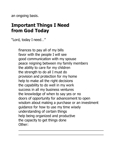an ongoing basis.

### **Important Things I Need from God Today**

"Lord, today I need…"

finances to pay all of my bills favor with the people I will see good communication with my spouse peace reigning between my family members the ability to care for my children the strength to do all I must do provision and protection for my home help to make all the right decisions the capability to do well in my work success in all my business ventures the knowledge of when to say yes or no doors of opportunity for advancement to open wisdom about making a purchase or an investment guidance for how to use my time wisely understanding of certain things help being organized and productive the capacity to get things done Other:

\_\_\_\_\_\_\_\_\_\_\_\_\_\_\_\_\_\_\_\_\_\_\_\_\_\_\_\_\_\_\_\_\_\_\_\_\_\_\_\_\_\_\_\_\_ \_\_\_\_\_\_\_\_\_\_\_\_\_\_\_\_\_\_\_\_\_\_\_\_\_\_\_\_\_\_\_\_\_\_\_\_\_\_\_\_\_\_\_\_\_\_\_\_\_\_\_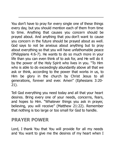You don't have to pray for every single one of these things every day, but you should mention each of them from time to time. Anything that causes you concern should be prayed about. And anything that you don't want to cause you concern in the future should be prayed about as well. God says to not be anxious about anything but to pray about everything so that you will have unfathomable peace (Philippians 4:6-7). He wants to do so much more in your life than you can even think of to ask for, and He will do it by the power of the Holy Spirit who lives in you. "To Him who is able to do exceedingly abundantly above all that we ask or think, according to the power that works in us, to Him be glory in the church by Christ Jesus to all generations, forever and ever. Amen" (Ephesians 3:20- 21).

 $\overline{\phantom{a}}$  , and the contract of the contract of the contract of the contract of the contract of the contract of the contract of the contract of the contract of the contract of the contract of the contract of the contrac

Tell God everything you need today and all that your heart desires. Bring every one of your needs, concerns, fears, and hopes to Him. "Whatever things you ask in prayer, believing, you will receive" (Matthew 21:22). Remember that nothing is too large or too small for God to handle.

### **PRAYER POWER**

Lord, I thank You that You will provide for all my needs and You want to give me the desires of my heart when I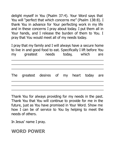delight myself in You (Psalm 37:4). Your Word says that You will "perfect that which concerns me" (Psalm 138:8). I thank You in advance for Your perfecting work in my life and in these concerns I pray about today. I put them all in Your hands, and I release the burden of them to You. I pray that You would meet all of my needs today.

I pray that my family and I will always have a secure home to live in and good food to eat. Specifically I lift before You my greatest needs today, which are \_\_\_\_\_\_\_\_\_\_\_\_\_\_\_\_\_\_\_\_\_\_\_\_\_\_\_\_\_\_\_\_\_\_\_\_\_\_\_\_\_\_\_\_\_\_\_\_\_\_\_\_\_\_\_\_

\_\_\_\_\_\_\_\_\_\_\_\_\_\_\_\_\_\_\_\_\_\_\_\_\_\_\_\_\_\_\_\_\_\_\_\_\_\_\_\_\_\_\_\_\_\_\_\_\_\_\_\_\_\_\_\_

\_\_\_\_\_\_\_\_\_\_\_\_\_\_\_\_\_\_\_\_\_\_\_\_\_\_\_\_\_\_\_\_\_\_\_\_\_\_\_\_\_\_\_\_\_\_\_\_\_\_\_\_\_\_\_\_ The greatest desires of my heart today are \_\_\_\_\_\_\_\_\_\_\_\_\_\_\_\_\_\_\_\_\_\_\_\_\_\_\_\_\_\_\_\_\_\_\_\_\_\_\_\_\_\_\_\_\_\_\_\_\_\_\_\_\_\_\_\_ \_\_\_\_\_\_\_\_\_\_\_\_\_\_\_\_\_\_\_\_\_\_\_\_\_\_\_\_\_\_\_\_\_\_\_\_\_\_\_\_\_\_\_\_\_\_\_\_\_\_\_\_\_\_\_\_ \_\_\_\_\_\_\_\_\_\_\_\_\_\_\_\_\_\_\_\_\_\_\_\_\_\_\_\_\_\_\_\_\_\_\_\_\_\_\_\_\_\_\_\_\_\_\_\_\_\_\_\_\_\_\_\_

Thank You for always providing for my needs in the past. Thank You that You will continue to provide for me in the future, just as You have promised in Your Word. Show me how I can be of service to You by helping to meet the needs of others.

In Jesus' name I pray.

### **WORD POWER**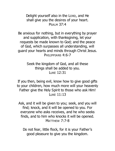Delight yourself also in the LORD, and He shall give you the desires of your heart. PSALM 37:4

Be anxious for nothing, but in everything by prayer and supplication, with thanksgiving, let your requests be made known to God; and the peace of God, which surpasses all understanding, will guard your hearts and minds through Christ Jesus. PHILIPPIANS 4:6-7

> Seek the kingdom of God, and all these things shall be added to you. LUKE 12:31

If you then, being evil, know how to give good gifts to your children, how much more will your heavenly Father give the Holy Spirit to those who ask Him! LUKE 11:13

Ask, and it will be given to you; seek, and you will find; knock, and it will be opened to you. For everyone who asks receives, and he who seeks finds, and to him who knocks it will be opened.  $M$ <sup> $T$ THEW</sub>  $7.7-8$ </sup>

Do not fear, little flock, for it is your Father's good pleasure to give you the kingdom.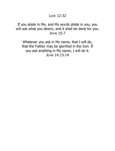LUKE 12:32

#### If you abide in Me, and My words abide in you, you will ask what you desire, and it shall be done for you. JOHN 15:7

Whatever you ask in My name, that I will do, that the Father may be glorified in the Son. If you ask anything in My name, I will do it. JOHN 14:13-14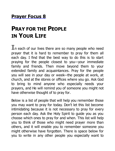# **[Prayer](#page-6-0) Focus 8**

# **PRAY FOR THE PEOPLE IN YOUR LIFE**

**I**<sup>n</sup> each of our lives there are so many people who need prayer that it is hard to remember to pray for them all each day. I find that the best way to do this is to start praying for the people closest to you—your immediate family and friends. Then move beyond them to your extended family and acquaintances. Pray for the people you will see in your day or week—the people at work, at church, and at the stores or offices where you go. Ask God to bring to mind anyone who especially needs your prayers, and He will remind you of someone you might not have otherwise thought of to pray for.

Below is a list of people that will help you remember those you may want to pray for today. Don't let this list become intimidating because it is not necessary to pray for every person each day. Ask the Holy Spirit to guide you as you choose which ones to pray for and when. This list will help you to think of those who might need prayer more than others, and it will enable you to remember someone you might otherwise have forgotten. There is space below for you to write in any other people you especially want to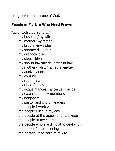bring before the throne of God.

### **People in My Life Who Need Prayer**

"Lord, today I pray for…" my husband/my wife my mother/my father my brother/my sister my son/my daughter my grandchildren my stepchildren my son-in-law/my daughter-in-law my mother-in-law/my father-in-law my aunt/my uncle my cousins my roommate my close friends my acquaintances/my casual friends my extended family members my neighbors my pastor and church leaders the people I work with the people I see in my day the people at the appointments I keep the people at my church the people who are difficult to deal with the person I dread seeing the person I find hard to talk to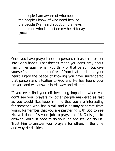the people I am aware of who need help the people I know of who need healing the people I've heard about on the news the person who is most on my heart today Other:

Once you have prayed about a person, release him or her into God's hands. That doesn't mean you don't pray about him or her again when you think of that person, but give yourself some moments of relief from that burden on your heart. Enjoy the peace of knowing you have surrendered that person and situation to God and He has heard your prayers and will answer in His way and His time.

 $\_$ \_\_\_\_\_\_\_\_\_\_\_\_\_\_\_\_\_\_\_\_\_\_\_\_\_\_\_\_\_\_\_\_\_\_\_\_\_\_\_\_\_\_\_\_\_\_\_\_\_\_\_\_\_ \_\_\_\_\_\_\_\_\_\_\_\_\_\_\_\_\_\_\_\_\_\_\_\_\_\_\_\_\_\_\_\_\_\_\_\_\_\_\_\_\_\_\_\_\_\_\_\_\_\_\_\_\_

 $\_$ 

If you ever find yourself becoming impatient when you don't see your prayers for other people answered as fast as you would like, keep in mind that you are interceding for someone who has a will and a destiny separate from yours. Remember that you are partnering with God to see His will done. It's your job to pray, and it's God's job to answer. You just need to do your job and let God do His. Trust Him to answer your prayers for others in the time and way He decides.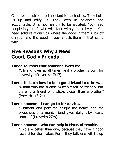Good relationships are important to each of us. They build us up and edify us. They keep us balanced and accountable. It is not healthy to be isolated. You need people in your life who will stand with you and by you. You need solid relationships where the good in them rubs off o n you, and the good in you affects them in that same way.

# **Five Reasons Why I Need Good, Godly Friends**

### **I need to know that someone loves me.**

"A friend loves at all times, and a brother is born for adversity" (Proverbs 17:17).

### **I need to learn how to be a good friend to others.**

"A man who has friends must himself be friendly, but there is a friend who sticks closer than a brother" (Proverbs 18:24).

### **I need someone I can go to for advice.**

"Ointment and perfume delight the heart, and the sweetness of a man's friend gives delight by hearty counsel" (Proverbs 27:9).

### **I need someone who can help in times of trouble.**

"Two are better than one, because they have a good reward for their labor. For if they fall, one will lift up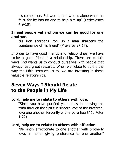his companion. But woe to him who is alone when he falls, for he has no one to help him up" (Ecclesiastes 4:9-10).

### **I need people with whom we can be good for one another.**

"As iron sharpens iron, so a man sharpens the countenance of his friend" (Proverbs 27:17).

In order to have good friends and relationships, we have to be a good friend in a relationship. There are certain ways God wants us to conduct ourselves with people that always reap great rewards. When we relate to others the way the Bible instructs us to, we are investing in these valuable relationships.

# **Seven Ways I Should Relate to the People in My Life**

### **Lord, help me to relate to others with love.**

"Since you have purified your souls in obeying the truth through the Spirit in sincere love of the brethren, love one another fervently with a pure heart" (1 Peter 1:22).

### **Lord, help me to relate to others with affection.**

"Be kindly affectionate to one another with brotherly love, in honor giving preference to one another"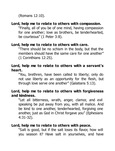(Romans 12:10).

### **Lord, help me to relate to others with compassion.**

"Finally, all of you be of one mind, having compassion for one another; love as brothers, be tenderhearted, be courteous" (1 Peter 3:8).

### **Lord, help me to relate to others with care.**

"There should be no schism in the body, but that the members should have the same care for one another" (1 Corinthians 12:25).

### **Lord, help me to relate to others with a servant's heart.**

"You, brethren, have been called to liberty; only do not use liberty as an opportunity for the flesh, but through love serve one another" (Galatians 5:13).

### **Lord, help me to relate to others with forgiveness and kindness.**

"Let all bitterness, wrath, anger, clamor, and evil speaking be put away from you, with all malice. And be kind to one another, tenderhearted, forgiving one another, just as God in Christ forgave you" (Ephesians 4:31-32).

### **Lord, help me to relate to others with peace.**

"Salt is good, but if the salt loses its flavor, how will you season it? Have salt in yourselves, and have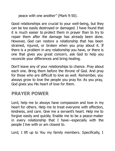peace with one another" (Mark 9:50).

Good relationships are crucial to your well-being, but they can be too easily destroyed or damaged. I have found that it is much easier to protect them in prayer than to try to repair them after the damage has already been done. However, God can restore a relationship that has been strained, injured, or broken when you pray about it. If there is a problem in any relationship you have, or there is one that gives you great concern, ask God to help you reconcile your differences and bring healing.

Don't leave any of your relationships to chance. Pray about each one. Bring them before the throne of God. And pray for those who are difficult to love as well. Remember, you always grow to love the people you pray for. As you pray, God gives you His heart of love for them.

### **PRAYER POWER**

Lord, help me to always have compassion and love in my heart for others. Help me to treat everyone with affection, kindness, and care. Give me a servant's heart. Help me to forgive easily and quickly. Enable me to be a peace-maker in every relationship that I have—especially with the people I live with or am closest to.

Lord, I lift up to You my family members. Specifically, I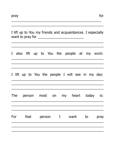I lift up to You my friends and acquaintances. I especially 

the control of the control of the control of the control of the control of the control of

|  |  |  |  |  |  |  |                           |  |  |  | I also lift up to You the people at my work:      |
|--|--|--|--|--|--|--|---------------------------|--|--|--|---------------------------------------------------|
|  |  |  |  |  |  |  |                           |  |  |  | I lift up to You the people I will see in my day: |
|  |  |  |  |  |  |  |                           |  |  |  | The person most on my heart today is:             |
|  |  |  |  |  |  |  | For that person I want to |  |  |  | pray                                              |
|  |  |  |  |  |  |  |                           |  |  |  |                                                   |

and the company of the company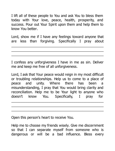I lift all of these people to You and ask You to bless them today with Your love, peace, health, prosperity, and success. Pour out Your Spirit upon them and help them to know You better.

Lord, show me if I have any feelings toward anyone that are less than forgiving. Specifically I pray about

 $\frac{1}{2}$  ,  $\frac{1}{2}$  ,  $\frac{1}{2}$  ,  $\frac{1}{2}$  ,  $\frac{1}{2}$  ,  $\frac{1}{2}$  ,  $\frac{1}{2}$  ,  $\frac{1}{2}$  ,  $\frac{1}{2}$  ,  $\frac{1}{2}$  ,  $\frac{1}{2}$  ,  $\frac{1}{2}$  ,  $\frac{1}{2}$  ,  $\frac{1}{2}$  ,  $\frac{1}{2}$  ,  $\frac{1}{2}$  ,  $\frac{1}{2}$  ,  $\frac{1}{2}$  ,  $\frac{1$  $\_$ \_\_\_\_\_\_\_\_\_\_\_\_\_\_\_\_\_\_\_\_\_\_\_\_\_\_\_\_\_\_\_\_\_\_\_\_\_\_\_\_\_\_\_\_\_\_\_\_\_\_\_\_\_

I confess any unforgiveness I have in me as sin. Deliver me and keep me free of all unforgiveness.

Lord, I ask that Your peace would reign in my most difficult or troubling relationships. Help us to come to a place of peace and unity. Where there has been a misunderstanding, I pray that You would bring clarity and reconciliation. Help me to be Your light to anyone who doesn't know You. Specifically, I pray for

\_\_\_\_\_\_\_\_\_\_\_\_\_\_\_\_\_\_\_\_\_\_\_\_\_\_\_\_\_\_\_\_\_\_\_\_\_\_\_\_\_\_\_\_\_\_\_\_\_\_\_\_ \_\_\_\_\_\_\_\_\_\_\_\_\_\_\_\_\_\_\_\_\_\_\_\_\_\_\_\_\_\_\_\_\_\_\_\_\_\_\_\_\_\_\_\_\_\_\_\_\_\_\_\_\_ \_\_\_\_\_\_\_\_\_\_\_\_\_\_\_\_\_\_\_\_\_\_\_\_\_\_\_\_\_\_\_\_\_\_\_\_\_\_\_\_\_\_\_\_\_\_\_\_\_\_\_\_\_

Open this person's heart to receive You.

Help me to choose my friends wisely. Give me discernment so that I can separate myself from someone who is dangerous or will be a bad influence. Bless every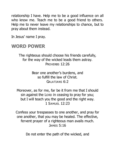relationship I have. Help me to be a good influence on all who know me. Teach me to be a good friend to others. Help me to never leave my relationships to chance, but to pray about them instead.

In Jesus' name I pray.

# **WORD POWER**

The righteous should choose his friends carefully, for the way of the wicked leads them astray. PROVERBS 12:26

> Bear one another's burdens, and so fulfill the law of Christ. GALATIANS 6.2

Moreover, as for me, far be it from me that I should sin against the LORD in ceasing to pray for you; but I will teach you the good and the right way. 1 SAMUEL 12:23

Confess your trespasses to one another, and pray for one another, that you may be healed. The effective, fervent prayer of a righteous man avails much. JAMES 5:16

Do not enter the path of the wicked, and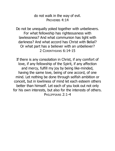do not walk in the way of evil. PROVERBS 4.14

Do not be unequally voked together with unbelievers. For what fellowship has righteousness with lawlessness? And what communion has light with darkness? And what accord has Christ with Belial? Or what part has a believer with an unbeliever? 2 CORINTHIANS 6:14-15

If there is any consolation in Christ, if any comfort of love, if any fellowship of the Spirit, if any affection and mercy, fulfill my joy by being like-minded, having the same love, being of one accord, of one mind. Let nothing be done through selfish ambition or conceit, but in lowliness of mind let each esteem others better than himself. Let each of you look out not only for his own interests, but also for the interests of others. PHILIPPIANS  $2.1-4$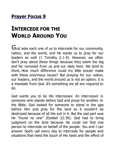# **[Prayer](#page-6-1) Focus 9**

# **INTERCEDE FOR THE WORLD AROUND YOU**

**G**od asks each one of us to intercede for our community, nation, and the world, and He wants us to pray for our leaders as well (1 Timothy 2:1-4). However, we often don't pray about these things because they seem too big and far removed from us and our daily lives. We tend to think, How much difference could my little prayer make with these enormous issues? But praying for our nation, our leaders, and the world around us is not an option; it is a mandate from God. It's something we all are required to do.

God wants you to be His intercessor. An intercessor is someone who stands before God and prays for another. In the Bible, God looked for someone to stand in the gap before Him and pray for the land so it wouldn't be destroyed because of all the evil in it. But the sad part was He "found no one" (Ezekiel 22:30). God had to bring judgment on the land because. He could not find one person to intercede on behalf of the people. You and I can answer God's call every day to intercede for people and situations that need the touch of His hand and the effect of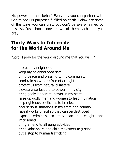His power on their behalf. Every day you can partner with God to see His purposes fulfilled on earth. Below are some of the ways you can pray, but don't be overwhelmed by this list. Just choose one or two of them each time you pray.

# **Thirty Ways to Intercede for the World Around Me**

"Lord, I pray for the world around me that You will…"

protect my neighbors keep my neighborhood safe bring peace and blessing to my community send rain so we are free of drought protect us from natural disasters elevate wise leaders to power in my city bring godly leaders to power in my state raise up godly men and women to lead my nation help righteous politicians to be elected heal serious situations in my state and country reveal works of evil so they can be destroyed expose criminals so they can be caught and imprisoned bring an end to all gang activities bring kidnappers and child molesters to justice put a stop to human trafficking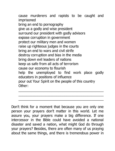cause murderers and rapists to be caught and imprisoned bring an end to pornography give us a godly and wise president surround our president with godly advisors expose corruption in government protect our military men and women raise up righteous judges in the courts bring an end to wars and civil strife destroy corruption and bias in the media bring down evil leaders of nations keep us safe from all acts of terrorism cause our economy to flourish help the unemployed to find work place godly educators in positions of influence pour out Your Spirit on the people of this country Other: \_\_\_\_\_\_\_\_\_\_\_\_\_\_\_\_\_\_\_\_\_\_\_\_\_\_\_\_\_\_\_\_\_\_\_\_\_\_\_\_\_\_\_\_\_\_

Don't think for a moment that because you are only one person your prayers don't matter in this world. Let me assure you, your prayers make a big difference. If one intercessor in the Bible could have avoided a national disaster and saved a nation, what might God do through your prayers? Besides, there are often many of us praying about the same things, and there is tremendous power in

\_\_\_\_\_\_\_\_\_\_\_\_\_\_\_\_\_\_\_\_\_\_\_\_\_\_\_\_\_\_\_\_\_\_\_\_\_\_\_\_\_\_\_\_\_\_\_\_\_\_\_\_\_ \_\_\_\_\_\_\_\_\_\_\_\_\_\_\_\_\_\_\_\_\_\_\_\_\_\_\_\_\_\_\_\_\_\_\_\_\_\_\_\_\_\_\_\_\_\_\_\_\_\_\_\_\_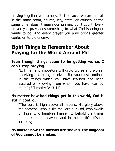praying together with others. Just because we are not all in the same room, church, city, state, or country at the same time, doesn't mean our prayers don't count. Every prayer you pray adds something to what God is doing or wants to do. And every prayer you pray brings greater confusion to the enemy.

# **Eight Things to Remember About Praying for the World Around Me**

**Even though things seem to be getting worse, I can't stop praying.**

"Evil men and impostors will grow worse and worse, deceiving and being deceived. But you must continue in the things which you have learned and been assured of, knowing from whom you have learned them" (2 Timothy 3:13-14).

### **No matter how bad things get in the world, God is still in control.**

"The Lord is high above all nations, His glory above the heavens. Who is like the Lord our God, who dwells on high, who humbles Himself to behold the things that are in the heavens and in the earth?" (Psalm 113:4-6).

### **No matter how the nations are shaken, the kingdom of God cannot be shaken.**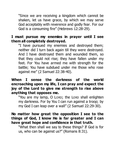"Since we are receiving a kingdom which cannot be shaken, let us have grace, by which we may serve God acceptably with reverence and godly fear. For our God is a consuming fire" (Hebrews 12:28-29).

### **I must pursue my enemies in prayer until I see them all completely destroyed.**

"I have pursued my enemies and destroyed them; neither did I turn back again till they were destroyed. And I have destroyed them and wounded them, so that they could not rise; they have fallen under my feet. For You have armed me with strength for the battle; You have subdued under me those who rose against me" (2 Samuel 22:38-40).

### **When I sense the darkness of the world encroaching upon my life, I can pray and expect the joy of the Lord to give me strength to rise above anything that opposes me.**

"You are my lamp, O LORD; the LORD shall enlighten my darkness. For by You I can run against a troop; by my God I can leap over a wall" (2 Samuel 22:29-30).

### **No matter how great the opposition I see to the things of God, I know He is far greater and I can have great hope and confidence in that truth.**

"What then shall we say to these things? If God is for us, who can be against us?" (Romans 8:31).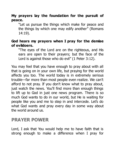### **My prayers lay the foundation for the pursuit of peace.**

"Let us pursue the things which make for peace and the things by which one may edify another" (Romans 14:19).

### **God hears my prayers when I pray for the demise of evildoers.**

"The eyes of the Lord are on the righteous, and His ears are open to their prayers; but the face of the Lord is against those who do evil" (1 Peter 3:12).

You may feel that you have enough to pray about with all that is going on in your own life, but praying for the world affects you too. The world today is in extremely serious trouble—far more than most people even realize. We can't afford to not pray. If you don't know what to pray about, just watch the news. You'll find more than enough things to lift up to God in just one news program. There is so much God wants to do in our world, but He is waiting for people like you and me to step in and intercede. Let's do what God wants and pray every day in some way about the world around us.

### **PRAYER POWER**

Lord, I ask that You would help me to have faith that is strong enough to make a difference when I pray for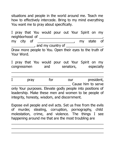situations and people in the world around me. Teach me how to effectively intercede. Bring to my mind everything You want me to pray about specifically.

I pray that You would pour out Your Spirit on my neighborhood of \_\_\_\_\_\_\_\_\_\_\_\_\_\_\_\_\_\_\_\_\_\_\_\_\_\_\_\_\_\_\_\_\_, my city of \_\_\_\_\_\_\_\_\_\_\_\_\_\_\_\_\_\_\_, my state of  $\frac{1}{\sqrt{1-\frac{1}{2}}\sqrt{1-\frac{1}{2}}\sqrt{1-\frac{1}{2}}\sqrt{1-\frac{1}{2}}}}$ , and my country of Draw more people to You. Open their eyes to the truth of Your Word.

I pray that You would pour out Your Spirit on my congressmen and senators, especially

\_\_\_\_\_\_\_\_\_\_\_\_\_\_\_\_\_\_\_\_\_\_\_\_\_\_\_\_\_\_\_\_\_\_\_\_\_\_\_\_\_\_\_\_\_\_\_\_\_\_\_\_\_\_\_\_\_

\_\_\_\_\_\_\_\_\_\_\_\_\_\_\_\_\_\_\_\_\_\_\_\_\_\_\_\_\_\_\_\_\_\_\_\_\_\_\_\_\_\_\_\_\_\_\_\_\_\_\_\_\_\_\_\_\_ I pray for our president. \_\_\_\_\_\_\_\_\_\_\_\_\_\_\_\_\_\_\_\_\_\_\_\_\_\_\_\_\_\_\_ Cause him to serve only Your purposes. Elevate godly people into positions of leadership. Make these men and women to be people of integrity, honesty, wisdom, and discernment.

Expose evil people and evil acts. Set us free from the evils of murder, stealing, corruption, pornography, child molestation, crime, and violence. The things I see happening around me that are the most troubling are

 $\frac{1}{2}$  ,  $\frac{1}{2}$  ,  $\frac{1}{2}$  ,  $\frac{1}{2}$  ,  $\frac{1}{2}$  ,  $\frac{1}{2}$  ,  $\frac{1}{2}$  ,  $\frac{1}{2}$  ,  $\frac{1}{2}$  ,  $\frac{1}{2}$  ,  $\frac{1}{2}$  ,  $\frac{1}{2}$  ,  $\frac{1}{2}$  ,  $\frac{1}{2}$  ,  $\frac{1}{2}$  ,  $\frac{1}{2}$  ,  $\frac{1}{2}$  ,  $\frac{1}{2}$  ,  $\frac{1$ \_\_\_\_\_\_\_\_\_\_\_\_\_\_\_\_\_\_\_\_\_\_\_\_\_\_\_\_\_\_\_\_\_\_\_\_\_\_\_\_\_\_\_\_\_\_\_\_\_\_\_\_\_ \_\_\_\_\_\_\_\_\_\_\_\_\_\_\_\_\_\_\_\_\_\_\_\_\_\_\_\_\_\_\_\_\_\_\_\_\_\_\_\_\_\_\_\_\_\_\_\_\_\_\_\_\_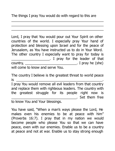$\_$  $\frac{1}{2}$  ,  $\frac{1}{2}$  ,  $\frac{1}{2}$  ,  $\frac{1}{2}$  ,  $\frac{1}{2}$  ,  $\frac{1}{2}$  ,  $\frac{1}{2}$  ,  $\frac{1}{2}$  ,  $\frac{1}{2}$  ,  $\frac{1}{2}$  ,  $\frac{1}{2}$  ,  $\frac{1}{2}$  ,  $\frac{1}{2}$  ,  $\frac{1}{2}$  ,  $\frac{1}{2}$  ,  $\frac{1}{2}$  ,  $\frac{1}{2}$  ,  $\frac{1}{2}$  ,  $\frac{1$  $\_$ 

Lord, I pray that You would pour out Your Spirit on other countries of the world. I especially pray Your hand of protection and blessing upon Israel and for the peace of Jerusalem, as You have instructed us to do in Your Word. The other country I especially want to pray for today is \_\_\_\_\_\_\_\_\_\_\_\_\_\_\_\_\_\_\_\_. I pray for the leader of that  $\Box$  I pray he (she) will come to know and serve You.

The country I believe is the greatest threat to world peace is \_\_\_\_\_\_\_\_\_\_\_\_\_\_\_\_\_\_\_\_\_\_\_\_\_\_\_\_\_\_\_\_\_\_\_\_\_\_\_\_\_\_\_\_\_.

I pray You would remove all evil leaders from that country and replace them with righteous leaders. The country with the greatest struggle for its people right now is \_\_\_\_\_\_\_\_\_\_\_\_\_\_\_\_\_\_\_\_\_\_\_\_\_\_\_\_\_\_\_\_\_\_. Set them free

to know You and Your blessings.

You have said, "When a man's ways please the Lord, He makes even his enemies to be at peace with him" (Proverbs 16:7). I pray that in my nation we would become people who please You so that we can have peace, even with our enemies. Enable us to be a country at peace and not at war. Enable us to stay strong enough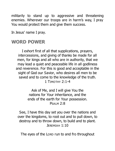militarily to stand up to aggressive and threatening enemies. Wherever our troops are in harm's way, I pray You would protect them and give them success.

In Jesus' name I pray.

### **WORD POWER**

I exhort first of all that supplications, prayers, intercessions, and giving of thanks be made for all men, for kings and all who are in authority, that we may lead a quiet and peaceable life in all godliness and reverence. For this is good and acceptable in the sight of God our Savior, who desires all men to be saved and to come to the knowledge of the truth. 1 TIMOTHY 2:1-4

> Ask of Me, and I will give You the nations for Your inheritance, and the ends of the earth for Your possession. **PSALM 2:8**

See, I have this day set you over the nations and over the kingdoms, to root out and to pull down, to destroy and to throw down, to build and to plant. JEREMIAH 1:10

The eyes of the LORD run to and fro throughout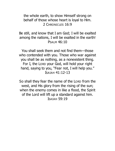the whole earth, to show Himself strong on behalf of those whose heart is loyal to Him. 2 CHRONICLES 16.9

Be still, and know that I am God; I will be exalted among the nations, I will be exalted in the earth! **PSALM 46.10** 

You shall seek them and not find them—those who contended with you. Those who war against you shall be as nothing, as a nonexistent thing. For I, the LORD your God, will hold your right hand, saying to you, "Fear not, I will help you." ISAIAH 41:12-13

So shall they fear the name of the LORD from the west, and His glory from the rising of the sun; when the enemy comes in like a flood, the Spirit of the Lord will lift up a standard against him. ISAIAH 59:19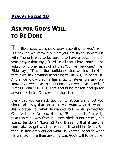# **[Prayer](#page-6-2) Focus 10**

# **ASK FOR GOD'S WILL TO BE DONE**

**T**he Bible says we should pray according to God's will. But how do we know if our prayers are lining up with His will? The only way to be sure is to have a bottom line in your prayer that says, "Lord, in all that I have prayed and asked for, I pray most of all that Your will be done." The Bible says, "This is the confidence that we have in Him, that if we ask anything according to His will, He hears us. And if we know that He hears us, whatever we ask, we know that we have the petitions that we have asked of Him" (1 John 5:14-15). That should be reason enough for anyone to desire God's will for their life.

Every day you can ask God for what you want, but you should also say that above all you want what He wants. Jesus prayed for what He wanted, but He still prayed for God's will to be fulfilled. He said, "Father, if it is Your will, take this cup away from Me; nevertheless not My will, but Yours, be done" (Luke 22:42). It seems that if anyone could always get what he wanted, it would be Jesus. But then He ultimately did get what He wanted, because what He wanted more than anything was God's will to be done.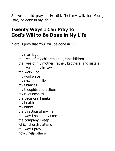So we should pray as He did, "Not my will, but Yours, Lord, be done in my life."

# **Twenty Ways I Can Pray for God's Will to Be Done in My Life**

"Lord, I pray that Your will be done in…"

my marriage the lives of my children and grandchildren the lives of my mother, father, brothers, and sisters the lives of my in-laws the work I do my workplace my coworkers' lives my finances my thoughts and actions my relationships the decisions I make my health my habits the direction of my life the way I spend my time the company I keep which church I attend the way I pray how I help others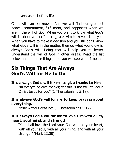every aspect of my life

God's will can be known. And we will find our greatest peace, contentment, fulfillment, and happiness when we are in the will of God. When you want to know what God's will is about a specific thing, ask Him to reveal it to you. When you have to make a decision and you still don't know what God's will is in the matter, then do what you know is always God's will. Doing that will help you to better understand the will of God in other areas. Read the list below and do those things, and you will see what I mean.

# **Six Things That Are Always God's Will for Me to Do**

### **It is always God's will for me to give thanks to Him.**

"In everything give thanks; for this is the will of God in Christ Jesus for you" (1 Thessalonians 5:18).

### **It is always God's will for me to keep praying about everything.**

"Pray without ceasing" (1 Thessalonians 5:17).

### **It is always God's will for me to love Him with all my heart, soul, mind, and strength.**

"You shall love the Lord your God with all your heart, with all your soul, with all your mind, and with all your strength" (Mark 12:30).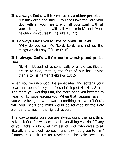### **It is always God's will for me to love other people.**

"He answered and said, ' "You shall love the Lord your God with all your heart, with all your soul, with all your strength, and with all your mind," and "your neighbor as yourself" ' " (Luke 10:27).

#### **It is always God's will for me to obey His laws.**

"Why do you call Me 'Lord, Lord,' and not do the things which I say?" (Luke 6:46).

### **It is always God's will for me to worship and praise Him.**

"By Him [Jesus] let us continually offer the sacrifice of praise to God, that is, the fruit of our lips, giving thanks to His name" (Hebrews 13:15).

When you worship God, He penetrates and softens your heart and pours into you a fresh infilling of His Holy Spirit. The more you worship Him, the more open you become to hearing His voice leading you. When that happens, even if you were being drawn toward something that wasn't God's will, your heart and mind would be touched by the Holy Spirit and turned in the right direction.

The way to make sure you are always doing the right thing is to ask God for wisdom about everything you do. "If any of you lacks wisdom, let him ask of God, who gives to all liberally and without reproach, and it will be given to him" (James 1:5). Ask Him for revelation. The Bible says, "Do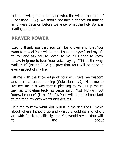not be unwise, but understand what the will of the Lord is" (Ephesians 5:17). We should not take a chance on making an unwise decision before we know what the Holy Spirit is leading us to do.

# **PRAYER POWER**

Lord, I thank You that You can be known and that You want to reveal Your will to me. I submit myself and my life to You and ask You to reveal to me all I need to know today. Help me to hear Your voice saying, "This is the way, walk in it" (Isaiah 30:21). I pray that Your will be done in every aspect of my life.

Fill me with the knowledge of Your will. Give me wisdom and spiritual understanding (Colossians 1:9). Help me to live my life in a way that is pleasing to You. Help me to say, as wholeheartedly as Jesus said, "Not My will, but Yours, be done" (Luke 22:42). Your will is more important to me than my own wants and desires.

Help me to know what Your will is in the decisions I make about where I should go and what I should do and who I am with. I ask, specifically, that You would reveal Your will to me about \_\_\_\_\_\_\_\_\_\_\_\_\_\_\_\_\_\_\_\_\_\_\_\_\_\_\_\_\_\_\_\_\_\_\_\_\_\_\_\_\_\_\_\_\_\_\_\_\_\_\_\_\_

\_\_\_\_\_\_\_\_\_\_\_\_\_\_\_\_\_\_\_\_\_\_\_\_\_\_\_\_\_\_\_\_\_\_\_\_\_\_\_\_\_\_\_\_\_\_\_\_\_\_\_\_\_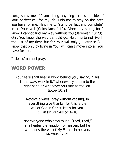Lord, show me if I am doing anything that is outside of Your perfect will for my life. Help me to stay on the path You have for me. Help me to "stand perfect and complete" in all Your will (Colossians 4:12). Direct my steps, for I know I cannot find my way without You (Jeremiah 10:23). Only You know the way I should go. Help me to not live in the lust of my flesh but for Your will only (1 Peter 4:2). I know that only by living in Your will can I move into all You have for me.

In Jesus' name I pray.

# **WORD POWER**

Your ears shall hear a word behind you, saying, "This is the way, walk in it," whenever you turn to the right hand or whenever you turn to the left. ISAIAH 30:21

> Rejoice always, pray without ceasing, in everything give thanks; for this is the will of God in Christ Jesus for you. 1 THESSALONIANS 5:16-18

Not everyone who says to Me, "Lord, Lord," shall enter the kingdom of heaven, but he who does the will of My Father in heaven.  $M$ <sub>A</sub> $THEN$  7:21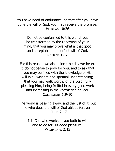You have need of endurance, so that after you have done the will of God, you may receive the promise. HEBREWS 10:36

Do not be conformed to this world, but be transformed by the renewing of your mind, that you may prove what is that good and acceptable and perfect will of God. ROMANS<sub>12:2</sub>

For this reason we also, since the day we heard it, do not cease to pray for you, and to ask that you may be filled with the knowledge of His will in all wisdom and spiritual understanding: that you may walk worthy of the Lord, fully pleasing Him, being fruitful in every good work and increasing in the knowledge of God. COLOSSIANS 1:9-10

The world is passing away, and the lust of it; but he who does the will of God abides forever. 1 JOHN 2:17

> It is God who works in you both to will and to do for His good pleasure. PHILIPPIANS 7.13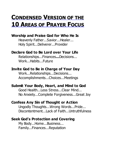# **C[ONDENSED](#page-6-3) VERSION OF THE 10 AREAS OF PRAYER FOCUS**

### **Worship and Praise God for Who He Is**

Heavenly Father...Savior...Healer... Holy Spirit...Deliverer...Provider

#### **Declare God to Be Lord over Your Life**

Relationships...Finances**...**Decisions... Work. Habits. Future

### **Invite God to Be in Charge of Your Day**

Work...Relationships...Decisions... Accomplishments...Choices...Meetings

### **Submit Your Body, Heart, and Mind to God**

Good Health...Less Stress...Clear Mind... No Anxiety...Complete Forgiveness...Great Joy

### **Confess Any Sin of Thought or Action**

Ungodly Thoughts...Wrong Words...Pride... Discontentment...Lack of Faith...Untruthfulness

### **Seek God's Protection and Covering**

My Body...Home...Business... Family...Finances...Reputation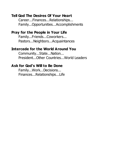### **Tell God The Desires Of Your Heart**

Career...Finances...Relationships... Family...Opportunities...Accomplishments

### **Pray for the People in Your Life**

Family...Friends...Coworkers... Pastors...Neighbors...Acquaintances

### **Intercede for the World Around You**

Community...State...Nation... President...Other Countries... World Leaders.

### **Ask for God's Will to Be Done**

Family...Work...Decisions... Finances...Relationships...Life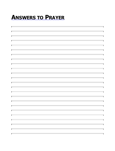# **A[NSWERS](#page-6-4) TO PRAYER**

| D.             | ┓                        |
|----------------|--------------------------|
|                |                          |
|                |                          |
| 盯              | T.                       |
|                |                          |
|                |                          |
| 厂              | T.                       |
|                |                          |
|                |                          |
|                | ٦                        |
| г              |                          |
|                |                          |
|                |                          |
| 厂              | $\overline{\phantom{a}}$ |
|                |                          |
|                |                          |
| p—             | ⊣                        |
|                |                          |
|                |                          |
|                |                          |
| ┍              |                          |
|                |                          |
|                |                          |
| г.             | ۰                        |
|                |                          |
|                |                          |
|                |                          |
| $\overline{a}$ | ٦                        |
|                |                          |
|                |                          |
| $\mathbf{r}$   | T.                       |
|                |                          |
|                |                          |
| Н              | ٦                        |
|                |                          |
|                |                          |
|                |                          |
| $\mathbf{r}$   | ⊣                        |
|                |                          |
|                |                          |
| 冖              | ۰                        |
|                |                          |
|                |                          |
|                |                          |
| г              | ٦                        |
|                |                          |
|                |                          |
| $\mathbf{r}$   | T.                       |
|                |                          |
|                |                          |
| 厂              | ۰                        |
|                |                          |
|                |                          |
|                |                          |
| $\overline{a}$ | ⊣                        |
|                |                          |
|                |                          |
| 冖              | ٦                        |
|                |                          |
|                |                          |
| $\mathbf{r}$   | T.                       |
|                |                          |
|                |                          |
|                |                          |
| $\mathbf{r}$   | T.                       |
|                |                          |
|                |                          |
| ┏              | ٦                        |
|                |                          |
|                |                          |
|                |                          |
| 厂              |                          |
|                |                          |
|                |                          |
| г              | ٦                        |
|                |                          |
|                |                          |
|                |                          |
|                |                          |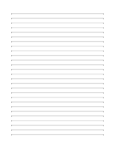| г                                                                                                                                                                                                                                    |                                                                                                                                                                                                                                     |                                                     | $\sim$                              |
|--------------------------------------------------------------------------------------------------------------------------------------------------------------------------------------------------------------------------------------|-------------------------------------------------------------------------------------------------------------------------------------------------------------------------------------------------------------------------------------|-----------------------------------------------------|-------------------------------------|
|                                                                                                                                                                                                                                      | <b>I</b> and the contract of the contract of the contract of the contract of the contract of the contract of the contract of the contract of the contract of the contract of the contract of the contract of the contract of the co |                                                     | T.                                  |
|                                                                                                                                                                                                                                      |                                                                                                                                                                                                                                     |                                                     |                                     |
| ₽                                                                                                                                                                                                                                    |                                                                                                                                                                                                                                     |                                                     | ⊣                                   |
| a contracto de la contracto de la contracto de                                                                                                                                                                                       |                                                                                                                                                                                                                                     |                                                     | ⊣                                   |
|                                                                                                                                                                                                                                      |                                                                                                                                                                                                                                     |                                                     |                                     |
|                                                                                                                                                                                                                                      | $\mathbf{r}$ , and the contract of the contract of the contract of the contract of the contract of the contract of the contract of the contract of the contract of the contract of the contract of the contract of the contract o   |                                                     |                                     |
|                                                                                                                                                                                                                                      | processes and the contract of the contract of the contract of the contract of the contract of the contract of                                                                                                                       |                                                     | ٦                                   |
|                                                                                                                                                                                                                                      |                                                                                                                                                                                                                                     |                                                     |                                     |
|                                                                                                                                                                                                                                      | produced a state of the contract of the contract of the contract of the contract of the contract of the contract of                                                                                                                 |                                                     | ⊣                                   |
| the contract of the contract of the contract of                                                                                                                                                                                      |                                                                                                                                                                                                                                     |                                                     | $\sim$ $\sim$ $\sim$                |
|                                                                                                                                                                                                                                      |                                                                                                                                                                                                                                     |                                                     |                                     |
| <b>Discovery of the contract of the contract of the contract of the contract of the contract of the contract of the contract of the contract of the contract of the contract of the contract of the contract of the contract of </b> |                                                                                                                                                                                                                                     |                                                     | ⊣                                   |
|                                                                                                                                                                                                                                      | $\mathfrak{p}$ , and the contract of the contract of the contract of the contract of the contract of the contract of the contract of the contract of the contract of the contract of the contract of the contract of the contract   |                                                     |                                     |
|                                                                                                                                                                                                                                      |                                                                                                                                                                                                                                     |                                                     |                                     |
|                                                                                                                                                                                                                                      | $\mathbf{p}$ , and the contract of the contract of the contract of the contract of the contract of the contract of the contract of the contract of the contract of the contract of the contract of the contract of the contract o   |                                                     |                                     |
|                                                                                                                                                                                                                                      | $\mathbf{p}$ , and the contract of the contract of the contract of the contract of the contract of the contract of the contract of the contract of the contract of the contract of the contract of the contract of the contract o   |                                                     | ⊣                                   |
|                                                                                                                                                                                                                                      |                                                                                                                                                                                                                                     |                                                     |                                     |
|                                                                                                                                                                                                                                      |                                                                                                                                                                                                                                     |                                                     |                                     |
| the control of the control of the control of                                                                                                                                                                                         |                                                                                                                                                                                                                                     |                                                     | −                                   |
| the control of the control of the control of the control of                                                                                                                                                                          |                                                                                                                                                                                                                                     | the contract of the contract of the contract of the |                                     |
|                                                                                                                                                                                                                                      |                                                                                                                                                                                                                                     |                                                     |                                     |
|                                                                                                                                                                                                                                      | $\mathbf{r}$ , and the contract of the contract of the contract of the contract of the contract of the contract of the contract of the contract of the contract of the contract of the contract of the contract of the contract o   |                                                     |                                     |
|                                                                                                                                                                                                                                      | $\mathfrak{p}$ , and the contract of the contract of the contract of the contract of the contract of the contract of the contract of the contract of the contract of the contract of the contract of the contract of the contract   |                                                     |                                     |
|                                                                                                                                                                                                                                      |                                                                                                                                                                                                                                     |                                                     |                                     |
|                                                                                                                                                                                                                                      | $\mathbf{r}$ , and the contract of the contract of the contract of the contract of the contract of the contract of the contract of the contract of the contract of the contract of the contract of the contract of the contract o   |                                                     |                                     |
|                                                                                                                                                                                                                                      | the control of the control of the control of the control of the control of                                                                                                                                                          |                                                     | T                                   |
|                                                                                                                                                                                                                                      |                                                                                                                                                                                                                                     |                                                     |                                     |
|                                                                                                                                                                                                                                      |                                                                                                                                                                                                                                     |                                                     |                                     |
|                                                                                                                                                                                                                                      | $\mathfrak{p}$ , and the contract of the contract of the contract of the contract of the contract of the contract of the contract of the contract of the contract of the contract of the contract of the contract of the contract   |                                                     |                                     |
|                                                                                                                                                                                                                                      |                                                                                                                                                                                                                                     |                                                     |                                     |
|                                                                                                                                                                                                                                      | $\mathfrak{p}$ , and the contract of the contract of the contract of the contract of the contract of the contract of the contract of the contract of the contract of the contract of the contract of the contract of the contract   |                                                     |                                     |
|                                                                                                                                                                                                                                      |                                                                                                                                                                                                                                     |                                                     |                                     |
|                                                                                                                                                                                                                                      |                                                                                                                                                                                                                                     |                                                     |                                     |
|                                                                                                                                                                                                                                      | the control of the control of the control of the control of the control of                                                                                                                                                          |                                                     | T                                   |
| $\mathbf{P}$ . The contract of the contract of the contract of the contract of the contract of the contract of the contract of the contract of the contract of the contract of the contract of the contract of the contract of th    |                                                                                                                                                                                                                                     |                                                     | and the contract of the contract of |
|                                                                                                                                                                                                                                      |                                                                                                                                                                                                                                     |                                                     |                                     |
|                                                                                                                                                                                                                                      |                                                                                                                                                                                                                                     |                                                     |                                     |
|                                                                                                                                                                                                                                      |                                                                                                                                                                                                                                     |                                                     |                                     |
|                                                                                                                                                                                                                                      |                                                                                                                                                                                                                                     |                                                     |                                     |